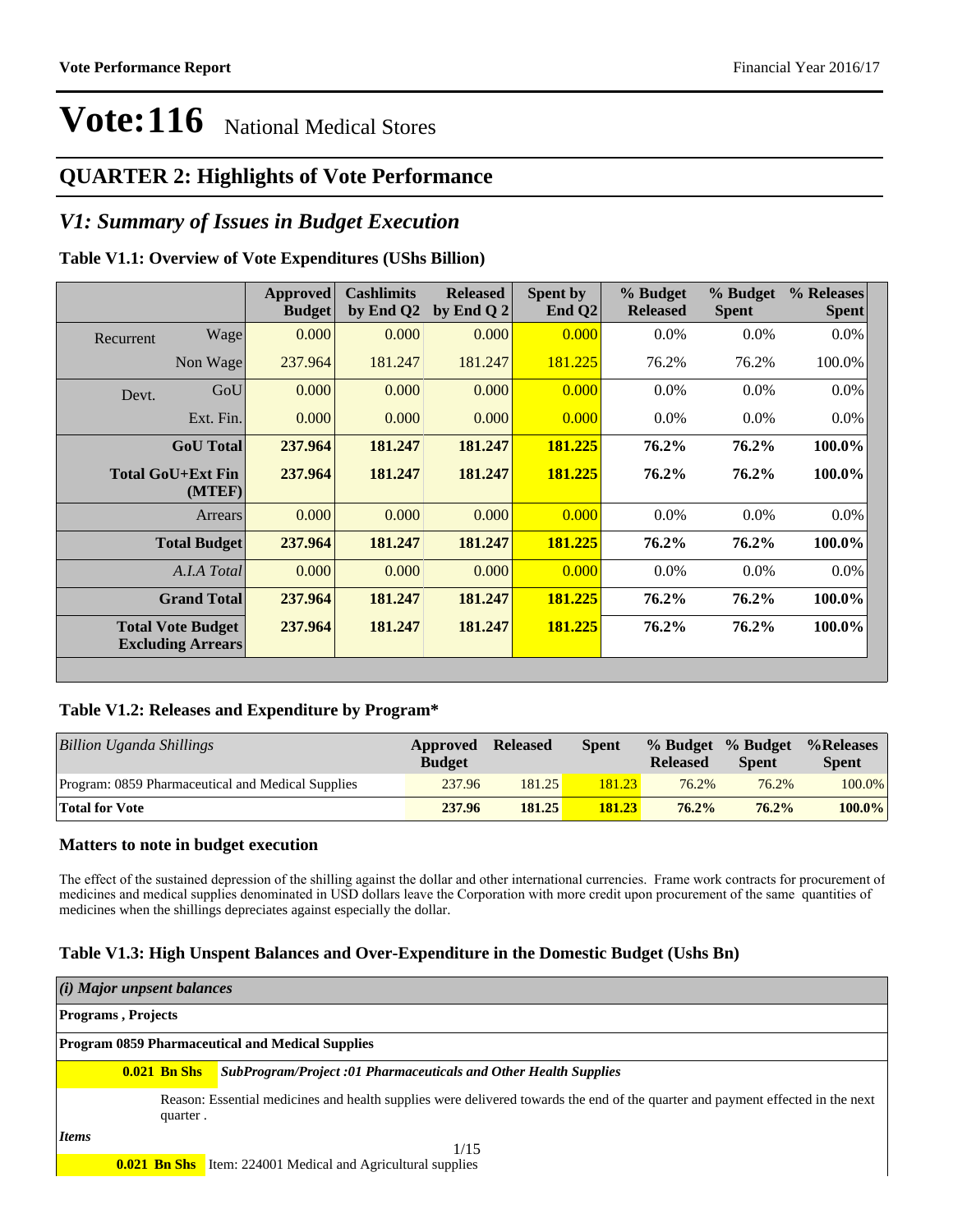#### **QUARTER 2: Highlights of Vote Performance**

#### *V1: Summary of Issues in Budget Execution*

#### **Table V1.1: Overview of Vote Expenditures (UShs Billion)**

|           |                                                      | <b>Approved</b><br><b>Budget</b> | <b>Cashlimits</b><br>by End Q2 | <b>Released</b><br>by End Q $2$ | Spent by<br>End $Q2$ | % Budget<br><b>Released</b> | % Budget<br><b>Spent</b> | % Releases<br><b>Spent</b> |
|-----------|------------------------------------------------------|----------------------------------|--------------------------------|---------------------------------|----------------------|-----------------------------|--------------------------|----------------------------|
| Recurrent | Wage                                                 | 0.000                            | 0.000                          | 0.000                           | 0.000                | $0.0\%$                     | 0.0%                     | $0.0\%$                    |
|           | Non Wage                                             | 237.964                          | 181.247                        | 181.247                         | 181.225              | 76.2%                       | 76.2%                    | 100.0%                     |
| Devt.     | GoU                                                  | 0.000                            | 0.000                          | 0.000                           | 0.000                | $0.0\%$                     | $0.0\%$                  | 0.0%                       |
|           | Ext. Fin.                                            | 0.000                            | 0.000                          | 0.000                           | 0.000                | $0.0\%$                     | $0.0\%$                  | $0.0\%$                    |
|           | <b>GoU</b> Total                                     | 237.964                          | 181.247                        | 181.247                         | 181.225              | 76.2%                       | 76.2%                    | 100.0%                     |
|           | <b>Total GoU+Ext Fin</b><br>(MTEF)                   | 237.964                          | 181.247                        | 181.247                         | 181.225              | 76.2%                       | 76.2%                    | 100.0%                     |
|           | Arrears                                              | 0.000                            | 0.000                          | 0.000                           | 0.000                | $0.0\%$                     | $0.0\%$                  | 0.0%                       |
|           | <b>Total Budget</b>                                  | 237.964                          | 181.247                        | 181.247                         | 181.225              | 76.2%                       | 76.2%                    | 100.0%                     |
|           | A.I.A Total                                          | 0.000                            | 0.000                          | 0.000                           | 0.000                | $0.0\%$                     | $0.0\%$                  | $0.0\%$                    |
|           | <b>Grand Total</b>                                   | 237.964                          | 181.247                        | 181.247                         | 181.225              | 76.2%                       | 76.2%                    | 100.0%                     |
|           | <b>Total Vote Budget</b><br><b>Excluding Arrears</b> | 237.964                          | 181.247                        | 181.247                         | 181.225              | 76.2%                       | 76.2%                    | 100.0%                     |

#### **Table V1.2: Releases and Expenditure by Program\***

| <b>Billion Uganda Shillings</b>                   | Approved<br><b>Budget</b> | <b>Released</b> | <b>Spent</b> | <b>Released</b> | % Budget % Budget<br><b>Spent</b> | %Releases<br><b>Spent</b> |
|---------------------------------------------------|---------------------------|-----------------|--------------|-----------------|-----------------------------------|---------------------------|
| Program: 0859 Pharmaceutical and Medical Supplies | 237.96                    | 181.25          | 181.23       | 76.2%           | 76.2%                             | 100.0%                    |
| <b>Total for Vote</b>                             | 237.96                    | 181.25          | 181.23       | 76.2%           | 76.2%                             | $100.0\%$                 |

#### **Matters to note in budget execution**

The effect of the sustained depression of the shilling against the dollar and other international currencies. Frame work contracts for procurement of medicines and medical supplies denominated in USD dollars leave the Corporation with more credit upon procurement of the same quantities of medicines when the shillings depreciates against especially the dollar.

#### **Table V1.3: High Unspent Balances and Over-Expenditure in the Domestic Budget (Ushs Bn)**

| $(i)$ Major unpsent balances |                           |                                                                                                                                |  |  |  |  |  |
|------------------------------|---------------------------|--------------------------------------------------------------------------------------------------------------------------------|--|--|--|--|--|
|                              | <b>Programs, Projects</b> |                                                                                                                                |  |  |  |  |  |
|                              |                           | <b>Program 0859 Pharmaceutical and Medical Supplies</b>                                                                        |  |  |  |  |  |
|                              | $0.021$ Bn Shs            | <b>SubProgram/Project :01 Pharmaceuticals and Other Health Supplies</b>                                                        |  |  |  |  |  |
|                              | quarter.                  | Reason: Essential medicines and health supplies were delivered towards the end of the quarter and payment effected in the next |  |  |  |  |  |
| <i>Items</i>                 |                           | 1/15                                                                                                                           |  |  |  |  |  |
|                              |                           | <b>0.021 Bn Shs</b> Item: 224001 Medical and Agricultural supplies                                                             |  |  |  |  |  |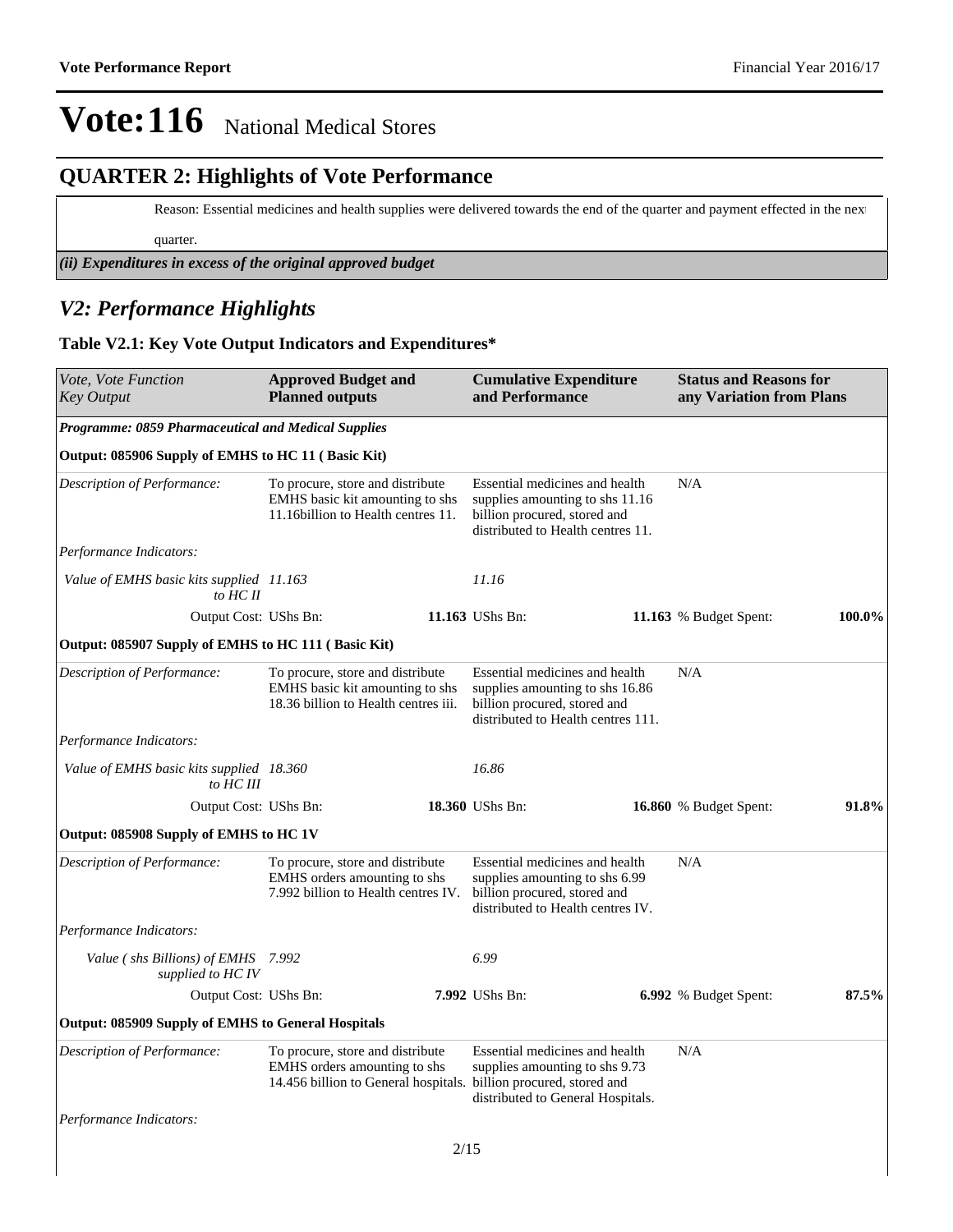#### **QUARTER 2: Highlights of Vote Performance**

Reason: Essential medicines and health supplies were delivered towards the end of the quarter and payment effected in the next

quarter.

*(ii) Expenditures in excess of the original approved budget*

#### *V2: Performance Highlights*

#### **Table V2.1: Key Vote Output Indicators and Expenditures\***

| Vote, Vote Function<br><b>Key Output</b>                | <b>Approved Budget and</b><br><b>Planned outputs</b>                                                              | <b>Cumulative Expenditure</b><br>and Performance                                                                                                                           | <b>Status and Reasons for</b><br>any Variation from Plans |        |
|---------------------------------------------------------|-------------------------------------------------------------------------------------------------------------------|----------------------------------------------------------------------------------------------------------------------------------------------------------------------------|-----------------------------------------------------------|--------|
| Programme: 0859 Pharmaceutical and Medical Supplies     |                                                                                                                   |                                                                                                                                                                            |                                                           |        |
| Output: 085906 Supply of EMHS to HC 11 (Basic Kit)      |                                                                                                                   |                                                                                                                                                                            |                                                           |        |
| Description of Performance:                             | To procure, store and distribute<br><b>EMHS</b> basic kit amounting to shs<br>11.16 billion to Health centres 11. | Essential medicines and health<br>supplies amounting to shs 11.16<br>billion procured, stored and<br>distributed to Health centres 11.                                     | N/A                                                       |        |
| Performance Indicators:                                 |                                                                                                                   |                                                                                                                                                                            |                                                           |        |
| Value of EMHS basic kits supplied 11.163<br>to $HCII$   |                                                                                                                   | 11.16                                                                                                                                                                      |                                                           |        |
| Output Cost: UShs Bn:                                   |                                                                                                                   | 11.163 UShs Bn:                                                                                                                                                            | 11.163 % Budget Spent:                                    | 100.0% |
| Output: 085907 Supply of EMHS to HC 111 (Basic Kit)     |                                                                                                                   |                                                                                                                                                                            |                                                           |        |
| <b>Description of Performance:</b>                      | To procure, store and distribute<br>EMHS basic kit amounting to shs<br>18.36 billion to Health centres iii.       | Essential medicines and health<br>supplies amounting to shs 16.86<br>billion procured, stored and<br>distributed to Health centres 111.                                    | N/A                                                       |        |
| Performance Indicators:                                 |                                                                                                                   |                                                                                                                                                                            |                                                           |        |
| Value of EMHS basic kits supplied 18.360<br>to HC III   |                                                                                                                   | 16.86                                                                                                                                                                      |                                                           |        |
| Output Cost: UShs Bn:                                   |                                                                                                                   | 18.360 UShs Bn:                                                                                                                                                            | 16.860 % Budget Spent:                                    | 91.8%  |
| Output: 085908 Supply of EMHS to HC 1V                  |                                                                                                                   |                                                                                                                                                                            |                                                           |        |
| Description of Performance:                             | To procure, store and distribute<br>EMHS orders amounting to shs<br>7.992 billion to Health centres IV.           | Essential medicines and health<br>supplies amounting to shs 6.99<br>billion procured, stored and<br>distributed to Health centres IV.                                      | N/A                                                       |        |
| Performance Indicators:                                 |                                                                                                                   |                                                                                                                                                                            |                                                           |        |
| Value (shs Billions) of EMHS 7.992<br>supplied to HC IV |                                                                                                                   | 6.99                                                                                                                                                                       |                                                           |        |
| Output Cost: UShs Bn:                                   |                                                                                                                   | 7.992 UShs Bn:                                                                                                                                                             | 6.992 % Budget Spent:                                     | 87.5%  |
| Output: 085909 Supply of EMHS to General Hospitals      |                                                                                                                   |                                                                                                                                                                            |                                                           |        |
| Description of Performance:                             | To procure, store and distribute<br>EMHS orders amounting to shs                                                  | Essential medicines and health<br>supplies amounting to shs 9.73<br>14.456 billion to General hospitals. billion procured, stored and<br>distributed to General Hospitals. | N/A                                                       |        |
| Performance Indicators:                                 |                                                                                                                   |                                                                                                                                                                            |                                                           |        |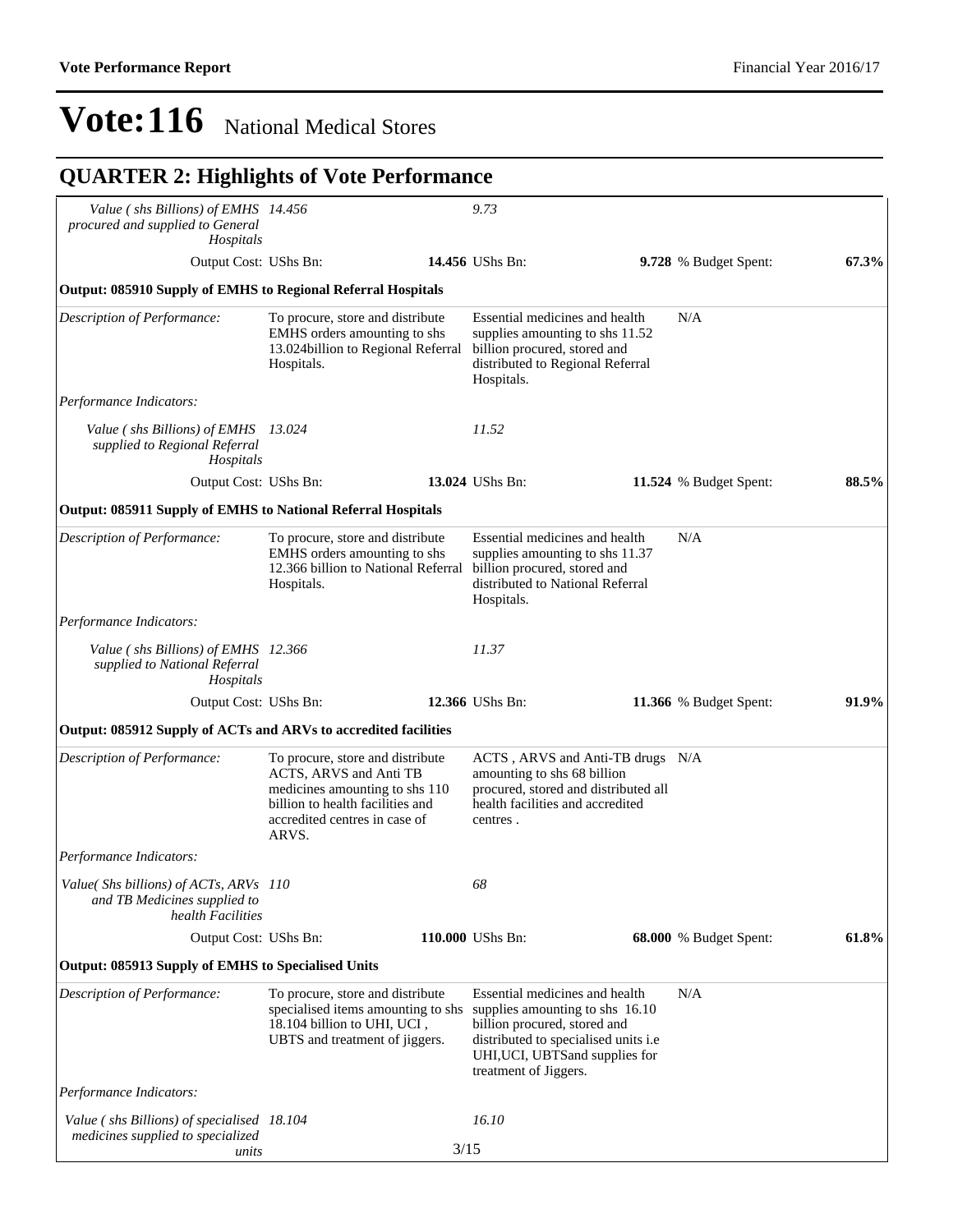| Value (shs Billions) of EMHS 14.456                                                        |                                                                                                                                                                            |      | 9.73                                                                                                                                                                                                   |                               |       |
|--------------------------------------------------------------------------------------------|----------------------------------------------------------------------------------------------------------------------------------------------------------------------------|------|--------------------------------------------------------------------------------------------------------------------------------------------------------------------------------------------------------|-------------------------------|-------|
| procured and supplied to General<br>Hospitals                                              |                                                                                                                                                                            |      |                                                                                                                                                                                                        |                               |       |
| Output Cost: UShs Bn:                                                                      |                                                                                                                                                                            |      | 14.456 UShs Bn:                                                                                                                                                                                        | 9.728 % Budget Spent:         | 67.3% |
| <b>Output: 085910 Supply of EMHS to Regional Referral Hospitals</b>                        |                                                                                                                                                                            |      |                                                                                                                                                                                                        |                               |       |
| Description of Performance:                                                                | To procure, store and distribute<br>EMHS orders amounting to shs<br>13.024 billion to Regional Referral<br>Hospitals.                                                      |      | Essential medicines and health<br>supplies amounting to shs 11.52<br>billion procured, stored and<br>distributed to Regional Referral<br>Hospitals.                                                    | N/A                           |       |
| Performance Indicators:                                                                    |                                                                                                                                                                            |      |                                                                                                                                                                                                        |                               |       |
| Value (shs Billions) of EMHS 13.024<br>supplied to Regional Referral<br>Hospitals          |                                                                                                                                                                            |      | 11.52                                                                                                                                                                                                  |                               |       |
| Output Cost: UShs Bn:                                                                      |                                                                                                                                                                            |      | 13.024 UShs Bn:                                                                                                                                                                                        | 11.524 % Budget Spent:        | 88.5% |
| Output: 085911 Supply of EMHS to National Referral Hospitals                               |                                                                                                                                                                            |      |                                                                                                                                                                                                        |                               |       |
| Description of Performance:                                                                | To procure, store and distribute<br>EMHS orders amounting to shs<br>12.366 billion to National Referral<br>Hospitals.                                                      |      | Essential medicines and health<br>supplies amounting to shs 11.37<br>billion procured, stored and<br>distributed to National Referral<br>Hospitals.                                                    | N/A                           |       |
| Performance Indicators:                                                                    |                                                                                                                                                                            |      |                                                                                                                                                                                                        |                               |       |
| Value (shs Billions) of EMHS 12.366<br>supplied to National Referral<br>Hospitals          |                                                                                                                                                                            |      | 11.37                                                                                                                                                                                                  |                               |       |
| Output Cost: UShs Bn:                                                                      |                                                                                                                                                                            |      | 12.366 UShs Bn:                                                                                                                                                                                        | <b>11.366</b> % Budget Spent: | 91.9% |
| Output: 085912 Supply of ACTs and ARVs to accredited facilities                            |                                                                                                                                                                            |      |                                                                                                                                                                                                        |                               |       |
| Description of Performance:                                                                | To procure, store and distribute<br>ACTS, ARVS and Anti TB<br>medicines amounting to shs 110<br>billion to health facilities and<br>accredited centres in case of<br>ARVS. |      | ACTS, ARVS and Anti-TB drugs N/A<br>amounting to shs 68 billion<br>procured, stored and distributed all<br>health facilities and accredited<br>centres.                                                |                               |       |
| <i>Performance Indicators:</i>                                                             |                                                                                                                                                                            |      |                                                                                                                                                                                                        |                               |       |
| Value(Shs billions) of ACTs, ARVs 110<br>and TB Medicines supplied to<br>health Facilities |                                                                                                                                                                            |      | 68                                                                                                                                                                                                     |                               |       |
| Output Cost: UShs Bn:                                                                      |                                                                                                                                                                            |      | 110.000 UShs Bn:                                                                                                                                                                                       | 68.000 % Budget Spent:        | 61.8% |
| <b>Output: 085913 Supply of EMHS to Specialised Units</b>                                  |                                                                                                                                                                            |      |                                                                                                                                                                                                        |                               |       |
| Description of Performance:                                                                | To procure, store and distribute<br>specialised items amounting to shs<br>18.104 billion to UHI, UCI,<br>UBTS and treatment of jiggers.                                    |      | Essential medicines and health<br>supplies amounting to shs 16.10<br>billion procured, stored and<br>distributed to specialised units i.e.<br>UHI, UCI, UBTS and supplies for<br>treatment of Jiggers. | N/A                           |       |
| Performance Indicators:                                                                    |                                                                                                                                                                            |      |                                                                                                                                                                                                        |                               |       |
| Value (shs Billions) of specialised 18.104<br>medicines supplied to specialized<br>units   |                                                                                                                                                                            | 3/15 | 16.10                                                                                                                                                                                                  |                               |       |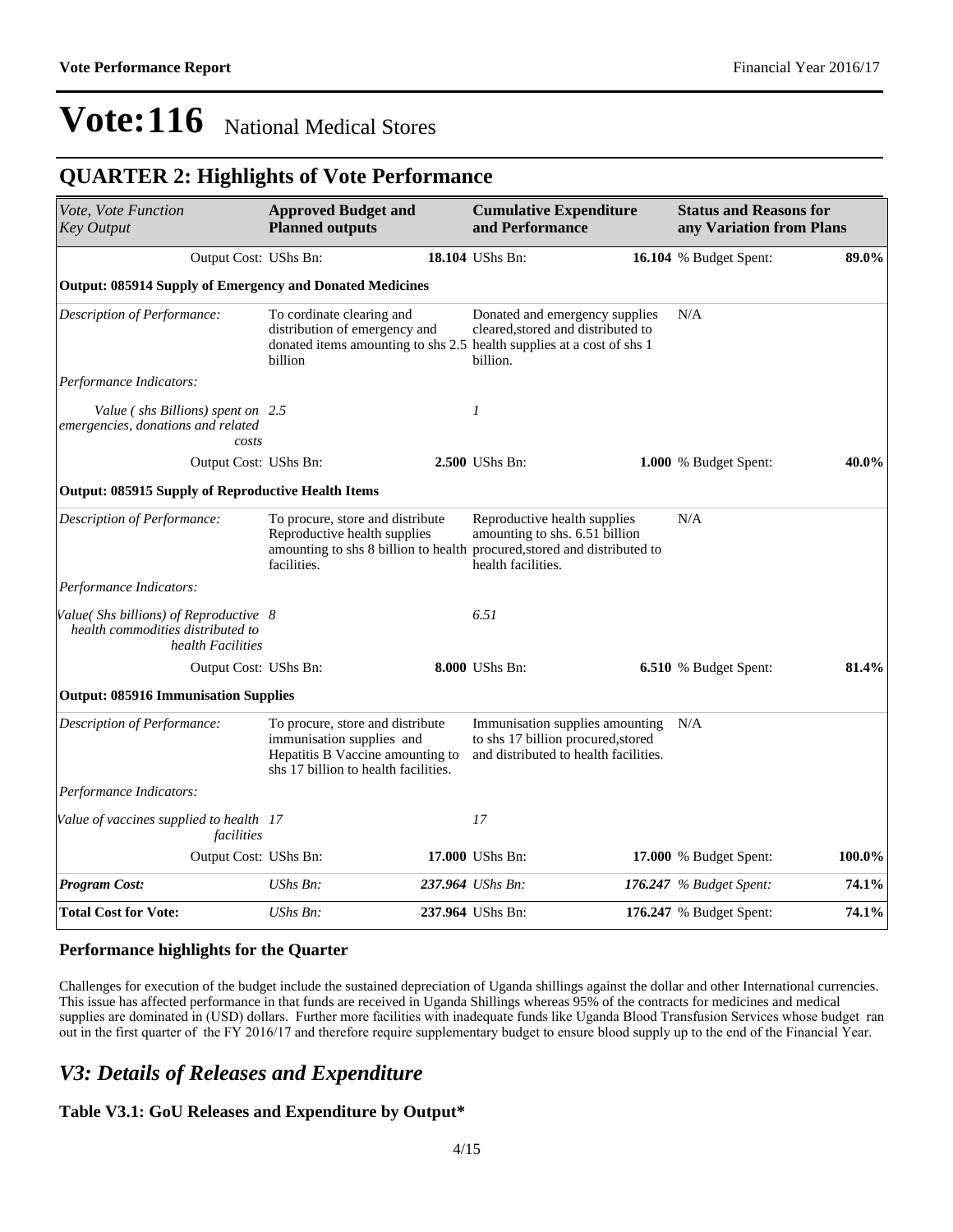### **QUARTER 2: Highlights of Vote Performance**

| Vote, Vote Function<br><b>Key Output</b>                                                        | <b>Approved Budget and</b><br><b>Planned outputs</b>                                                                                                        |  | <b>Cumulative Expenditure</b><br>and Performance                                                               |  | <b>Status and Reasons for</b><br>any Variation from Plans |        |
|-------------------------------------------------------------------------------------------------|-------------------------------------------------------------------------------------------------------------------------------------------------------------|--|----------------------------------------------------------------------------------------------------------------|--|-----------------------------------------------------------|--------|
| Output Cost: UShs Bn:                                                                           |                                                                                                                                                             |  | 18.104 UShs Bn:                                                                                                |  | 16.104 % Budget Spent:                                    | 89.0%  |
| <b>Output: 085914 Supply of Emergency and Donated Medicines</b>                                 |                                                                                                                                                             |  |                                                                                                                |  |                                                           |        |
| Description of Performance:                                                                     | To cordinate clearing and<br>distribution of emergency and<br>donated items amounting to shs 2.5 health supplies at a cost of shs 1<br>billion              |  | Donated and emergency supplies<br>cleared, stored and distributed to<br>billion.                               |  | N/A                                                       |        |
| Performance Indicators:                                                                         |                                                                                                                                                             |  |                                                                                                                |  |                                                           |        |
| Value (shs Billions) spent on 2.5<br>emergencies, donations and related<br>costs                |                                                                                                                                                             |  | 1                                                                                                              |  |                                                           |        |
| Output Cost: UShs Bn:                                                                           |                                                                                                                                                             |  | 2.500 UShs Bn:                                                                                                 |  | 1.000 % Budget Spent:                                     | 40.0%  |
| <b>Output: 085915 Supply of Reproductive Health Items</b>                                       |                                                                                                                                                             |  |                                                                                                                |  |                                                           |        |
| Description of Performance:                                                                     | To procure, store and distribute<br>Reproductive health supplies<br>amounting to shs 8 billion to health procured, stored and distributed to<br>facilities. |  | Reproductive health supplies<br>amounting to shs. 6.51 billion<br>health facilities.                           |  | N/A                                                       |        |
| Performance Indicators:                                                                         |                                                                                                                                                             |  |                                                                                                                |  |                                                           |        |
| Value(Shs billions) of Reproductive 8<br>health commodities distributed to<br>health Facilities |                                                                                                                                                             |  | 6.51                                                                                                           |  |                                                           |        |
| Output Cost: UShs Bn:                                                                           |                                                                                                                                                             |  | 8.000 UShs Bn:                                                                                                 |  | 6.510 % Budget Spent:                                     | 81.4%  |
| <b>Output: 085916 Immunisation Supplies</b>                                                     |                                                                                                                                                             |  |                                                                                                                |  |                                                           |        |
| Description of Performance:                                                                     | To procure, store and distribute<br>immunisation supplies and<br>Hepatitis B Vaccine amounting to<br>shs 17 billion to health facilities.                   |  | Immunisation supplies amounting<br>to shs 17 billion procured, stored<br>and distributed to health facilities. |  | N/A                                                       |        |
| Performance Indicators:                                                                         |                                                                                                                                                             |  |                                                                                                                |  |                                                           |        |
| Value of vaccines supplied to health 17<br>facilities                                           |                                                                                                                                                             |  | 17                                                                                                             |  |                                                           |        |
| Output Cost: UShs Bn:                                                                           |                                                                                                                                                             |  | 17.000 UShs Bn:                                                                                                |  | 17.000 % Budget Spent:                                    | 100.0% |
| <b>Program Cost:</b>                                                                            | UShs Bn:                                                                                                                                                    |  | 237.964 UShs Bn:                                                                                               |  | 176.247 $%$ Budget Spent:                                 | 74.1%  |
| <b>Total Cost for Vote:</b>                                                                     | UShs Bn:                                                                                                                                                    |  | 237.964 UShs Bn:                                                                                               |  | 176.247 % Budget Spent:                                   | 74.1%  |

#### **Performance highlights for the Quarter**

Challenges for execution of the budget include the sustained depreciation of Uganda shillings against the dollar and other International currencies. This issue has affected performance in that funds are received in Uganda Shillings whereas 95% of the contracts for medicines and medical supplies are dominated in (USD) dollars. Further more facilities with inadequate funds like Uganda Blood Transfusion Services whose budget ran out in the first quarter of the FY 2016/17 and therefore require supplementary budget to ensure blood supply up to the end of the Financial Year.

#### *V3: Details of Releases and Expenditure*

#### **Table V3.1: GoU Releases and Expenditure by Output\***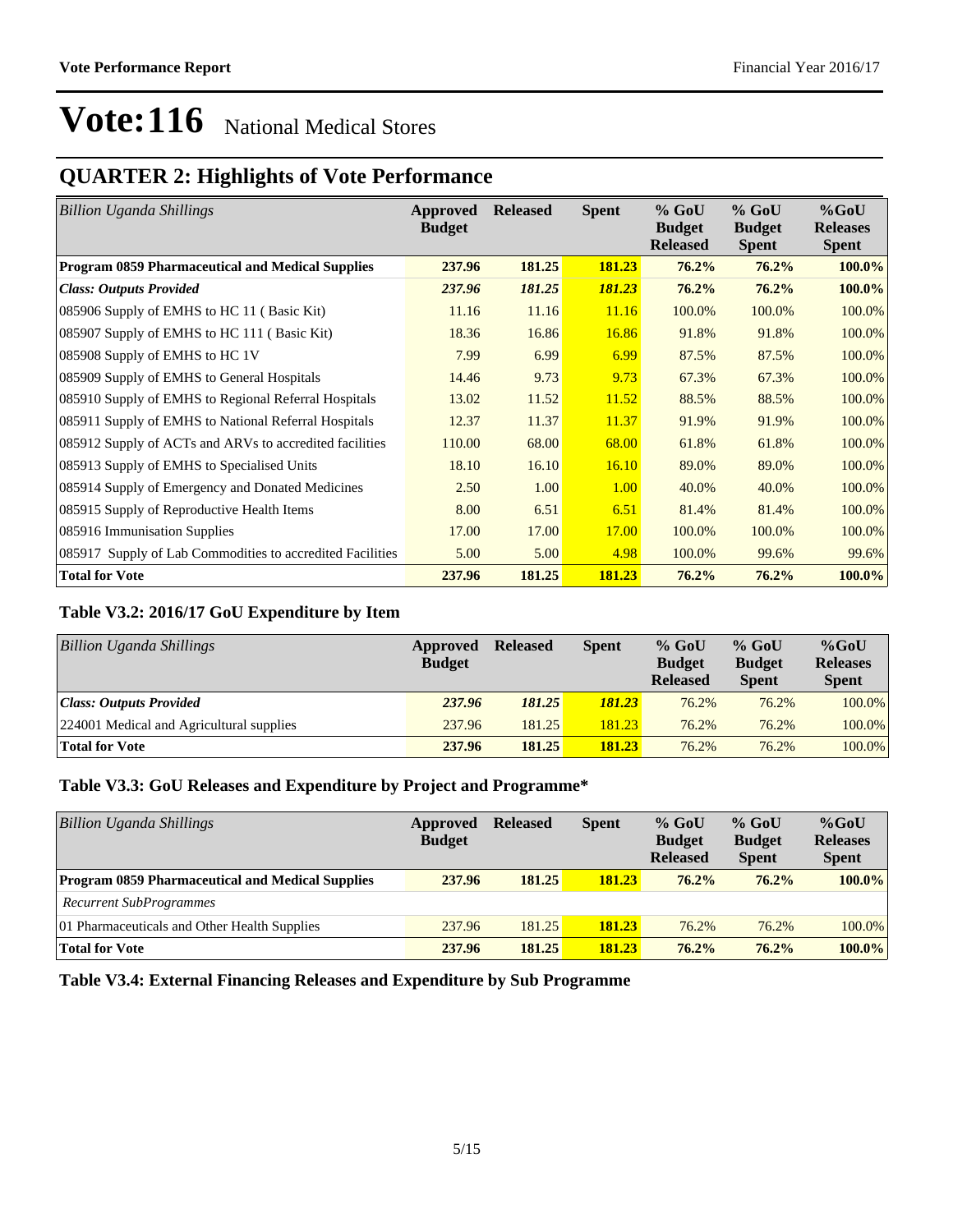### **QUARTER 2: Highlights of Vote Performance**

| <b>Billion Uganda Shillings</b>                           | Approved<br><b>Budget</b> | <b>Released</b> | <b>Spent</b> | $%$ GoU<br><b>Budget</b><br><b>Released</b> | $%$ GoU<br><b>Budget</b><br><b>Spent</b> | $%$ GoU<br><b>Releases</b><br><b>Spent</b> |
|-----------------------------------------------------------|---------------------------|-----------------|--------------|---------------------------------------------|------------------------------------------|--------------------------------------------|
| <b>Program 0859 Pharmaceutical and Medical Supplies</b>   | 237.96                    | 181.25          | 181.23       | 76.2%                                       | 76.2%                                    | 100.0%                                     |
| <b>Class: Outputs Provided</b>                            | 237.96                    | 181.25          | 181.23       | 76.2%                                       | 76.2%                                    | 100.0%                                     |
| 085906 Supply of EMHS to HC 11 (Basic Kit)                | 11.16                     | 11.16           | 11.16        | 100.0%                                      | 100.0%                                   | 100.0%                                     |
| 085907 Supply of EMHS to HC 111 (Basic Kit)               | 18.36                     | 16.86           | 16.86        | 91.8%                                       | 91.8%                                    | 100.0%                                     |
| 085908 Supply of EMHS to HC 1V                            | 7.99                      | 6.99            | 6.99         | 87.5%                                       | 87.5%                                    | 100.0%                                     |
| 085909 Supply of EMHS to General Hospitals                | 14.46                     | 9.73            | 9.73         | 67.3%                                       | 67.3%                                    | 100.0%                                     |
| 085910 Supply of EMHS to Regional Referral Hospitals      | 13.02                     | 11.52           | 11.52        | 88.5%                                       | 88.5%                                    | 100.0%                                     |
| 085911 Supply of EMHS to National Referral Hospitals      | 12.37                     | 11.37           | 11.37        | 91.9%                                       | 91.9%                                    | 100.0%                                     |
| 085912 Supply of ACTs and ARVs to accredited facilities   | 110.00                    | 68.00           | 68.00        | 61.8%                                       | 61.8%                                    | 100.0%                                     |
| 085913 Supply of EMHS to Specialised Units                | 18.10                     | 16.10           | 16.10        | 89.0%                                       | 89.0%                                    | 100.0%                                     |
| 085914 Supply of Emergency and Donated Medicines          | 2.50                      | 1.00            | 1.00         | 40.0%                                       | 40.0%                                    | 100.0%                                     |
| 085915 Supply of Reproductive Health Items                | 8.00                      | 6.51            | 6.51         | 81.4%                                       | 81.4%                                    | 100.0%                                     |
| 085916 Immunisation Supplies                              | 17.00                     | 17.00           | 17.00        | 100.0%                                      | 100.0%                                   | 100.0%                                     |
| 085917 Supply of Lab Commodities to accredited Facilities | 5.00                      | 5.00            | 4.98         | 100.0%                                      | 99.6%                                    | 99.6%                                      |
| <b>Total for Vote</b>                                     | 237.96                    | 181.25          | 181.23       | 76.2%                                       | 76.2%                                    | 100.0%                                     |

#### **Table V3.2: 2016/17 GoU Expenditure by Item**

| <b>Billion Uganda Shillings</b>          | Approved<br><b>Budget</b> | <b>Released</b> | <b>Spent</b>  | $%$ GoU<br><b>Budget</b><br><b>Released</b> | $%$ GoU<br><b>Budget</b><br><b>Spent</b> | $%$ GoU<br><b>Releases</b><br><b>Spent</b> |
|------------------------------------------|---------------------------|-----------------|---------------|---------------------------------------------|------------------------------------------|--------------------------------------------|
| Class: Outputs Provided                  | 237.96                    | 181.25          | <b>181.23</b> | 76.2%                                       | 76.2%                                    | 100.0%                                     |
| 224001 Medical and Agricultural supplies | 237.96                    | 181.25          | 181.23        | 76.2%                                       | 76.2%                                    | 100.0%                                     |
| <b>Total for Vote</b>                    | 237.96                    | 181.25          | 181.23        | 76.2%                                       | 76.2%                                    | 100.0%                                     |

#### **Table V3.3: GoU Releases and Expenditure by Project and Programme\***

| Billion Uganda Shillings                                | Approved<br><b>Budget</b> | <b>Released</b> | <b>Spent</b> | $%$ GoU<br><b>Budget</b><br><b>Released</b> | $%$ GoU<br><b>Budget</b><br><b>Spent</b> | $%$ GoU<br><b>Releases</b><br><b>Spent</b> |
|---------------------------------------------------------|---------------------------|-----------------|--------------|---------------------------------------------|------------------------------------------|--------------------------------------------|
| <b>Program 0859 Pharmaceutical and Medical Supplies</b> | 237.96                    | 181.25          | 181.23       | $76.2\%$                                    | $76.2\%$                                 | $100.0\%$                                  |
| <b>Recurrent SubProgrammes</b>                          |                           |                 |              |                                             |                                          |                                            |
| 01 Pharmaceuticals and Other Health Supplies            | 237.96                    | 181.25          | 181.23       | 76.2%                                       | 76.2%                                    | 100.0%                                     |
| <b>Total for Vote</b>                                   | 237.96                    | 181.25          | 181.23       | $76.2\%$                                    | $76.2\%$                                 | $100.0\%$                                  |

#### **Table V3.4: External Financing Releases and Expenditure by Sub Programme**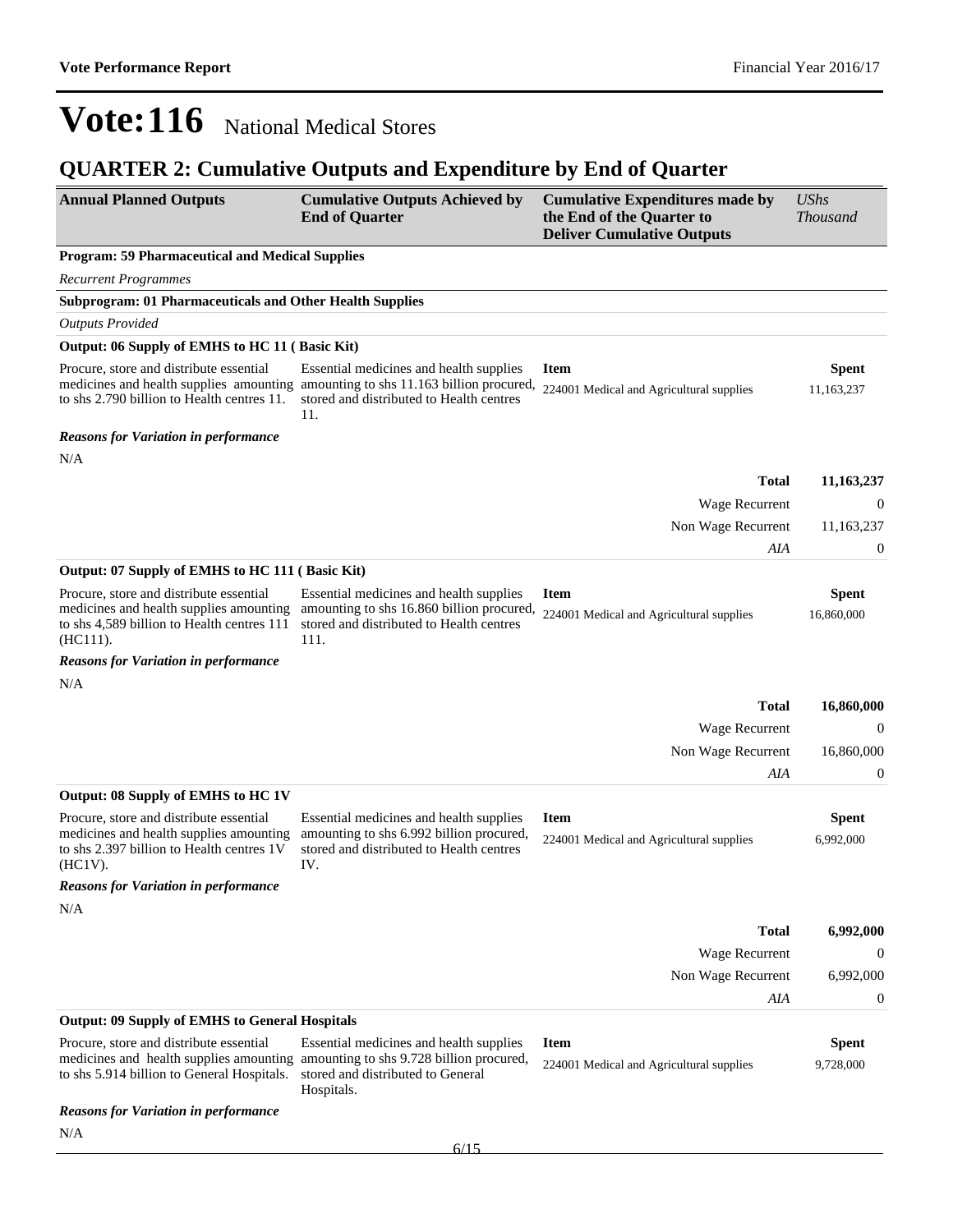| <b>Annual Planned Outputs</b>                                                                                                                                                                | <b>Cumulative Outputs Achieved by</b><br><b>End of Quarter</b>                                                                           | <b>Cumulative Expenditures made by</b><br>the End of the Quarter to<br><b>Deliver Cumulative Outputs</b> | <b>UShs</b><br><b>Thousand</b> |
|----------------------------------------------------------------------------------------------------------------------------------------------------------------------------------------------|------------------------------------------------------------------------------------------------------------------------------------------|----------------------------------------------------------------------------------------------------------|--------------------------------|
| <b>Program: 59 Pharmaceutical and Medical Supplies</b>                                                                                                                                       |                                                                                                                                          |                                                                                                          |                                |
| <b>Recurrent Programmes</b>                                                                                                                                                                  |                                                                                                                                          |                                                                                                          |                                |
| <b>Subprogram: 01 Pharmaceuticals and Other Health Supplies</b>                                                                                                                              |                                                                                                                                          |                                                                                                          |                                |
| <b>Outputs Provided</b>                                                                                                                                                                      |                                                                                                                                          |                                                                                                          |                                |
| Output: 06 Supply of EMHS to HC 11 (Basic Kit)                                                                                                                                               |                                                                                                                                          |                                                                                                          |                                |
| Procure, store and distribute essential<br>medicines and health supplies amounting<br>to shs 2.790 billion to Health centres 11.                                                             | Essential medicines and health supplies<br>amounting to shs 11.163 billion procured,<br>stored and distributed to Health centres<br>11.  | <b>Item</b><br>224001 Medical and Agricultural supplies                                                  | Spent<br>11,163,237            |
| <b>Reasons for Variation in performance</b>                                                                                                                                                  |                                                                                                                                          |                                                                                                          |                                |
| N/A                                                                                                                                                                                          |                                                                                                                                          |                                                                                                          |                                |
|                                                                                                                                                                                              |                                                                                                                                          | <b>Total</b>                                                                                             | 11,163,237                     |
|                                                                                                                                                                                              |                                                                                                                                          | Wage Recurrent                                                                                           | $\theta$                       |
|                                                                                                                                                                                              |                                                                                                                                          | Non Wage Recurrent                                                                                       | 11,163,237                     |
|                                                                                                                                                                                              |                                                                                                                                          | AIA                                                                                                      | $\boldsymbol{0}$               |
| Output: 07 Supply of EMHS to HC 111 (Basic Kit)                                                                                                                                              |                                                                                                                                          |                                                                                                          |                                |
| Procure, store and distribute essential<br>medicines and health supplies amounting<br>to shs 4,589 billion to Health centres 111<br>(HC111).                                                 | Essential medicines and health supplies<br>amounting to shs 16.860 billion procured,<br>stored and distributed to Health centres<br>111. | <b>Item</b><br>224001 Medical and Agricultural supplies                                                  | <b>Spent</b><br>16,860,000     |
| <b>Reasons for Variation in performance</b>                                                                                                                                                  |                                                                                                                                          |                                                                                                          |                                |
| N/A                                                                                                                                                                                          |                                                                                                                                          |                                                                                                          |                                |
|                                                                                                                                                                                              |                                                                                                                                          | <b>Total</b>                                                                                             | 16,860,000                     |
|                                                                                                                                                                                              |                                                                                                                                          | Wage Recurrent                                                                                           | $\Omega$                       |
|                                                                                                                                                                                              |                                                                                                                                          | Non Wage Recurrent                                                                                       | 16,860,000                     |
|                                                                                                                                                                                              |                                                                                                                                          | AIA                                                                                                      | $\boldsymbol{0}$               |
| Output: 08 Supply of EMHS to HC 1V                                                                                                                                                           |                                                                                                                                          |                                                                                                          |                                |
| Procure, store and distribute essential<br>medicines and health supplies amounting<br>to shs 2.397 billion to Health centres 1V<br>$(HC1V)$ .<br><b>Reasons for Variation in performance</b> | Essential medicines and health supplies<br>amounting to shs 6.992 billion procured,<br>stored and distributed to Health centres<br>IV.   | <b>Item</b><br>224001 Medical and Agricultural supplies                                                  | Spent<br>6,992,000             |
| N/A                                                                                                                                                                                          |                                                                                                                                          |                                                                                                          |                                |
|                                                                                                                                                                                              |                                                                                                                                          | <b>Total</b>                                                                                             | 6,992,000                      |
|                                                                                                                                                                                              |                                                                                                                                          |                                                                                                          | 0                              |
|                                                                                                                                                                                              |                                                                                                                                          | Wage Recurrent                                                                                           | 6,992,000                      |
|                                                                                                                                                                                              |                                                                                                                                          | Non Wage Recurrent                                                                                       |                                |
| <b>Output: 09 Supply of EMHS to General Hospitals</b>                                                                                                                                        |                                                                                                                                          | AIA                                                                                                      | $\boldsymbol{0}$               |
| Procure, store and distribute essential                                                                                                                                                      | Essential medicines and health supplies                                                                                                  | <b>Item</b>                                                                                              | <b>Spent</b>                   |
| medicines and health supplies amounting amounting to shs 9.728 billion procured,<br>to shs 5.914 billion to General Hospitals.                                                               | stored and distributed to General<br>Hospitals.                                                                                          | 224001 Medical and Agricultural supplies                                                                 | 9,728,000                      |
| <b>Reasons for Variation in performance</b>                                                                                                                                                  |                                                                                                                                          |                                                                                                          |                                |
| N/A                                                                                                                                                                                          |                                                                                                                                          |                                                                                                          |                                |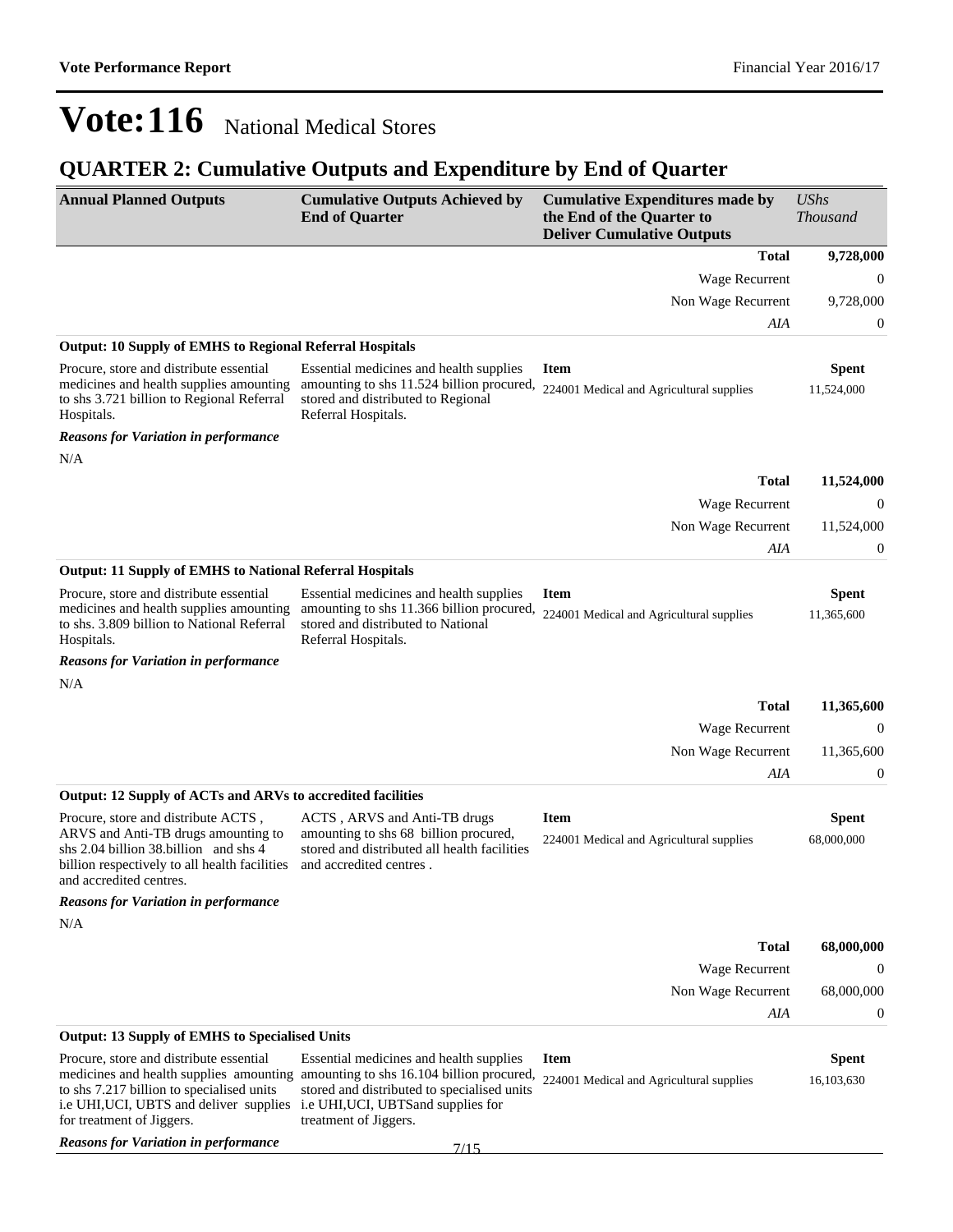| <b>Annual Planned Outputs</b>                                                                                                                                                                       | <b>Cumulative Outputs Achieved by</b><br><b>End of Quarter</b>                                                                                                                                       | <b>Cumulative Expenditures made by</b><br>the End of the Quarter to<br><b>Deliver Cumulative Outputs</b> | <b>UShs</b><br><b>Thousand</b> |
|-----------------------------------------------------------------------------------------------------------------------------------------------------------------------------------------------------|------------------------------------------------------------------------------------------------------------------------------------------------------------------------------------------------------|----------------------------------------------------------------------------------------------------------|--------------------------------|
|                                                                                                                                                                                                     |                                                                                                                                                                                                      | <b>Total</b>                                                                                             | 9,728,000                      |
|                                                                                                                                                                                                     |                                                                                                                                                                                                      | Wage Recurrent                                                                                           | $\mathbf{0}$                   |
|                                                                                                                                                                                                     |                                                                                                                                                                                                      | Non Wage Recurrent                                                                                       | 9,728,000                      |
|                                                                                                                                                                                                     |                                                                                                                                                                                                      | AIA                                                                                                      | $\boldsymbol{0}$               |
| <b>Output: 10 Supply of EMHS to Regional Referral Hospitals</b>                                                                                                                                     |                                                                                                                                                                                                      |                                                                                                          |                                |
| Procure, store and distribute essential<br>medicines and health supplies amounting<br>to shs 3.721 billion to Regional Referral<br>Hospitals.                                                       | Essential medicines and health supplies<br>amounting to shs 11.524 billion procured,<br>stored and distributed to Regional<br>Referral Hospitals.                                                    | <b>Item</b><br>224001 Medical and Agricultural supplies                                                  | <b>Spent</b><br>11,524,000     |
| <b>Reasons for Variation in performance</b>                                                                                                                                                         |                                                                                                                                                                                                      |                                                                                                          |                                |
| N/A                                                                                                                                                                                                 |                                                                                                                                                                                                      |                                                                                                          |                                |
|                                                                                                                                                                                                     |                                                                                                                                                                                                      | <b>Total</b>                                                                                             | 11,524,000                     |
|                                                                                                                                                                                                     |                                                                                                                                                                                                      | <b>Wage Recurrent</b>                                                                                    | 0                              |
|                                                                                                                                                                                                     |                                                                                                                                                                                                      | Non Wage Recurrent                                                                                       | 11,524,000                     |
|                                                                                                                                                                                                     |                                                                                                                                                                                                      | AIA                                                                                                      | $\mathbf{0}$                   |
| <b>Output: 11 Supply of EMHS to National Referral Hospitals</b><br>Procure, store and distribute essential                                                                                          | Essential medicines and health supplies                                                                                                                                                              | <b>Item</b>                                                                                              | <b>Spent</b>                   |
| medicines and health supplies amounting<br>to shs. 3.809 billion to National Referral<br>Hospitals.                                                                                                 | amounting to shs 11.366 billion procured,<br>stored and distributed to National<br>Referral Hospitals.                                                                                               | 224001 Medical and Agricultural supplies                                                                 | 11,365,600                     |
| <b>Reasons for Variation in performance</b>                                                                                                                                                         |                                                                                                                                                                                                      |                                                                                                          |                                |
| N/A                                                                                                                                                                                                 |                                                                                                                                                                                                      |                                                                                                          |                                |
|                                                                                                                                                                                                     |                                                                                                                                                                                                      | <b>Total</b>                                                                                             | 11,365,600                     |
|                                                                                                                                                                                                     |                                                                                                                                                                                                      | Wage Recurrent                                                                                           | $\theta$                       |
|                                                                                                                                                                                                     |                                                                                                                                                                                                      | Non Wage Recurrent                                                                                       | 11,365,600                     |
|                                                                                                                                                                                                     |                                                                                                                                                                                                      | AIA                                                                                                      | $\boldsymbol{0}$               |
| Output: 12 Supply of ACTs and ARVs to accredited facilities                                                                                                                                         |                                                                                                                                                                                                      |                                                                                                          |                                |
| Procure, store and distribute ACTS,<br>ARVS and Anti-TB drugs amounting to<br>shs $2.04$ billion $38$ billion and shs 4<br>billion respectively to all health facilities<br>and accredited centres. | ACTS, ARVS and Anti-TB drugs<br>amounting to shs 68 billion procured,<br>stored and distributed all health facilities<br>and accredited centres.                                                     | <b>Item</b><br>224001 Medical and Agricultural supplies                                                  | <b>Spent</b><br>68,000,000     |
| <b>Reasons for Variation in performance</b>                                                                                                                                                         |                                                                                                                                                                                                      |                                                                                                          |                                |
| N/A                                                                                                                                                                                                 |                                                                                                                                                                                                      |                                                                                                          |                                |
|                                                                                                                                                                                                     |                                                                                                                                                                                                      | <b>Total</b>                                                                                             | 68,000,000                     |
|                                                                                                                                                                                                     |                                                                                                                                                                                                      | Wage Recurrent                                                                                           | $\theta$                       |
|                                                                                                                                                                                                     |                                                                                                                                                                                                      | Non Wage Recurrent                                                                                       | 68,000,000                     |
|                                                                                                                                                                                                     |                                                                                                                                                                                                      | AIA                                                                                                      | $\boldsymbol{0}$               |
| <b>Output: 13 Supply of EMHS to Specialised Units</b>                                                                                                                                               |                                                                                                                                                                                                      |                                                                                                          |                                |
| Procure, store and distribute essential<br>to shs 7.217 billion to specialised units<br>i.e UHI, UCI, UBTS and deliver supplies i.e UHI, UCI, UBTS and supplies for<br>for treatment of Jiggers.    | Essential medicines and health supplies<br>medicines and health supplies amounting amounting to shs 16.104 billion procured,<br>stored and distributed to specialised units<br>treatment of Jiggers. | <b>Item</b><br>224001 Medical and Agricultural supplies                                                  | <b>Spent</b><br>16,103,630     |
| <b>Reasons for Variation in performance</b>                                                                                                                                                         | 7/15                                                                                                                                                                                                 |                                                                                                          |                                |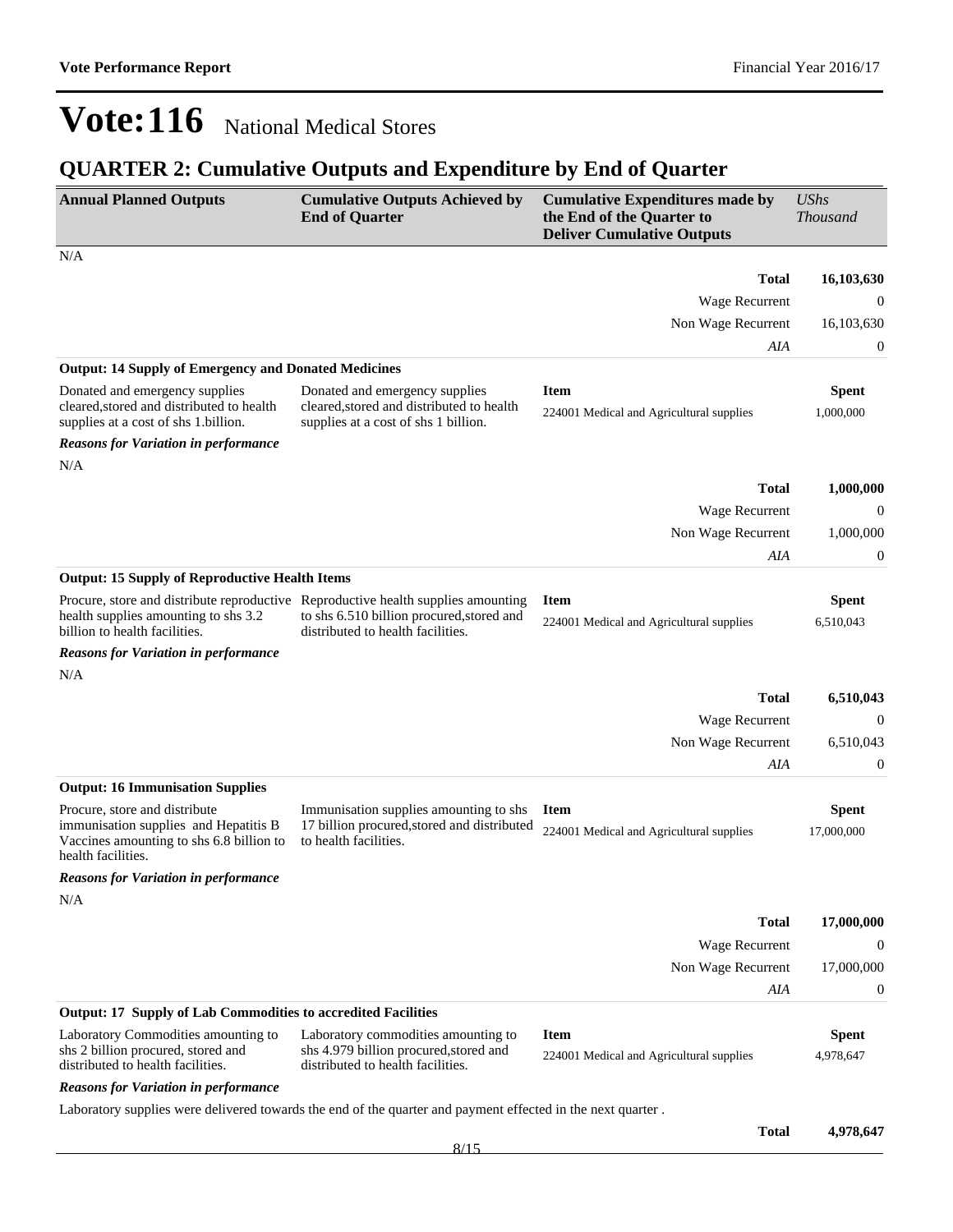| <b>Annual Planned Outputs</b>                                                                                                                              | <b>Cumulative Outputs Achieved by</b><br><b>End of Quarter</b>                                                      | <b>Cumulative Expenditures made by</b><br>the End of the Quarter to<br><b>Deliver Cumulative Outputs</b> | <b>UShs</b><br><b>Thousand</b> |
|------------------------------------------------------------------------------------------------------------------------------------------------------------|---------------------------------------------------------------------------------------------------------------------|----------------------------------------------------------------------------------------------------------|--------------------------------|
| N/A                                                                                                                                                        |                                                                                                                     |                                                                                                          |                                |
|                                                                                                                                                            |                                                                                                                     | <b>Total</b>                                                                                             | 16,103,630                     |
|                                                                                                                                                            |                                                                                                                     | Wage Recurrent                                                                                           | $\theta$                       |
|                                                                                                                                                            |                                                                                                                     | Non Wage Recurrent                                                                                       | 16,103,630                     |
|                                                                                                                                                            |                                                                                                                     | AIA                                                                                                      | 0                              |
| <b>Output: 14 Supply of Emergency and Donated Medicines</b>                                                                                                |                                                                                                                     |                                                                                                          |                                |
| Donated and emergency supplies<br>cleared, stored and distributed to health<br>supplies at a cost of shs 1.billion.                                        | Donated and emergency supplies<br>cleared, stored and distributed to health<br>supplies at a cost of shs 1 billion. | <b>Item</b><br>224001 Medical and Agricultural supplies                                                  | <b>Spent</b><br>1,000,000      |
| <b>Reasons for Variation in performance</b>                                                                                                                |                                                                                                                     |                                                                                                          |                                |
| N/A                                                                                                                                                        |                                                                                                                     |                                                                                                          |                                |
|                                                                                                                                                            |                                                                                                                     | <b>Total</b>                                                                                             | 1,000,000                      |
|                                                                                                                                                            |                                                                                                                     | Wage Recurrent                                                                                           | $\theta$                       |
|                                                                                                                                                            |                                                                                                                     | Non Wage Recurrent                                                                                       | 1,000,000                      |
|                                                                                                                                                            |                                                                                                                     | AIA                                                                                                      | $\boldsymbol{0}$               |
| <b>Output: 15 Supply of Reproductive Health Items</b>                                                                                                      |                                                                                                                     |                                                                                                          |                                |
| Procure, store and distribute reproductive Reproductive health supplies amounting<br>health supplies amounting to shs 3.2<br>billion to health facilities. | to shs 6.510 billion procured, stored and<br>distributed to health facilities.                                      | <b>Item</b><br>224001 Medical and Agricultural supplies                                                  | <b>Spent</b><br>6,510,043      |
| <b>Reasons for Variation in performance</b>                                                                                                                |                                                                                                                     |                                                                                                          |                                |
| N/A                                                                                                                                                        |                                                                                                                     |                                                                                                          |                                |
|                                                                                                                                                            |                                                                                                                     | Total                                                                                                    | 6,510,043                      |
|                                                                                                                                                            |                                                                                                                     | Wage Recurrent                                                                                           | $\boldsymbol{0}$               |
|                                                                                                                                                            |                                                                                                                     | Non Wage Recurrent                                                                                       | 6,510,043                      |
|                                                                                                                                                            |                                                                                                                     | AIA                                                                                                      | $\mathbf{0}$                   |
| <b>Output: 16 Immunisation Supplies</b>                                                                                                                    |                                                                                                                     |                                                                                                          |                                |
| Procure, store and distribute<br>immunisation supplies and Hepatitis B<br>Vaccines amounting to shs 6.8 billion to<br>health facilities.                   | Immunisation supplies amounting to shs<br>17 billion procured, stored and distributed<br>to health facilities.      | <b>Item</b><br>224001 Medical and Agricultural supplies                                                  | <b>Spent</b><br>17,000,000     |
| <b>Reasons for Variation in performance</b>                                                                                                                |                                                                                                                     |                                                                                                          |                                |
| N/A                                                                                                                                                        |                                                                                                                     |                                                                                                          |                                |
|                                                                                                                                                            |                                                                                                                     | <b>Total</b>                                                                                             | 17,000,000                     |
|                                                                                                                                                            |                                                                                                                     | Wage Recurrent                                                                                           | $\mathbf{0}$                   |
|                                                                                                                                                            |                                                                                                                     | Non Wage Recurrent                                                                                       | 17,000,000                     |
|                                                                                                                                                            |                                                                                                                     | AIA                                                                                                      | $\boldsymbol{0}$               |
| <b>Output: 17 Supply of Lab Commodities to accredited Facilities</b>                                                                                       |                                                                                                                     |                                                                                                          |                                |
| Laboratory Commodities amounting to<br>shs 2 billion procured, stored and<br>distributed to health facilities.                                             | Laboratory commodities amounting to<br>shs 4.979 billion procured, stored and<br>distributed to health facilities.  | <b>Item</b><br>224001 Medical and Agricultural supplies                                                  | <b>Spent</b><br>4,978,647      |
| <b>Reasons for Variation in performance</b>                                                                                                                |                                                                                                                     |                                                                                                          |                                |
|                                                                                                                                                            | Laboratory supplies were delivered towards the end of the quarter and payment effected in the next quarter.         |                                                                                                          |                                |
|                                                                                                                                                            |                                                                                                                     | <b>Total</b>                                                                                             | 4,978,647                      |
|                                                                                                                                                            | 8/15                                                                                                                |                                                                                                          |                                |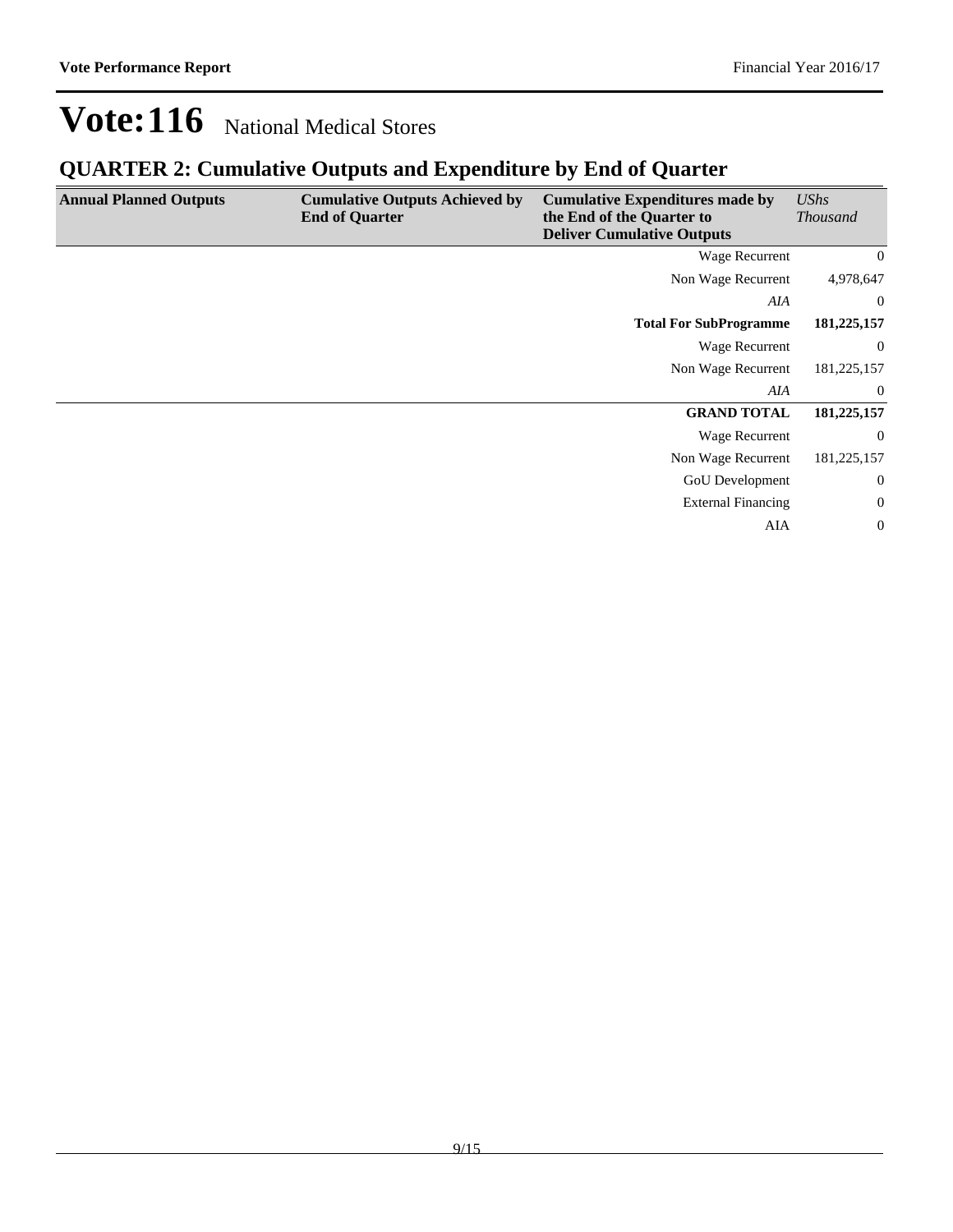| <b>Annual Planned Outputs</b> | <b>Cumulative Outputs Achieved by</b><br><b>End of Quarter</b> | <b>Cumulative Expenditures made by</b><br>the End of the Quarter to<br><b>Deliver Cumulative Outputs</b> | <b>UShs</b><br><b>Thousand</b> |
|-------------------------------|----------------------------------------------------------------|----------------------------------------------------------------------------------------------------------|--------------------------------|
|                               |                                                                | Wage Recurrent                                                                                           | $\overline{0}$                 |
|                               |                                                                | Non Wage Recurrent                                                                                       | 4,978,647                      |
|                               |                                                                | AIA                                                                                                      | $\overline{0}$                 |
|                               |                                                                | <b>Total For SubProgramme</b>                                                                            | 181,225,157                    |
|                               |                                                                | Wage Recurrent                                                                                           | $\overline{0}$                 |
|                               |                                                                | Non Wage Recurrent                                                                                       | 181,225,157                    |
|                               |                                                                | AIA                                                                                                      | $\overline{0}$                 |
|                               |                                                                | <b>GRAND TOTAL</b>                                                                                       | 181,225,157                    |
|                               |                                                                | Wage Recurrent                                                                                           | $\overline{0}$                 |
|                               |                                                                | Non Wage Recurrent                                                                                       | 181,225,157                    |
|                               |                                                                | <b>GoU</b> Development                                                                                   | $\boldsymbol{0}$               |
|                               |                                                                | <b>External Financing</b>                                                                                | $\boldsymbol{0}$               |
|                               |                                                                | <b>AIA</b>                                                                                               | $\overline{0}$                 |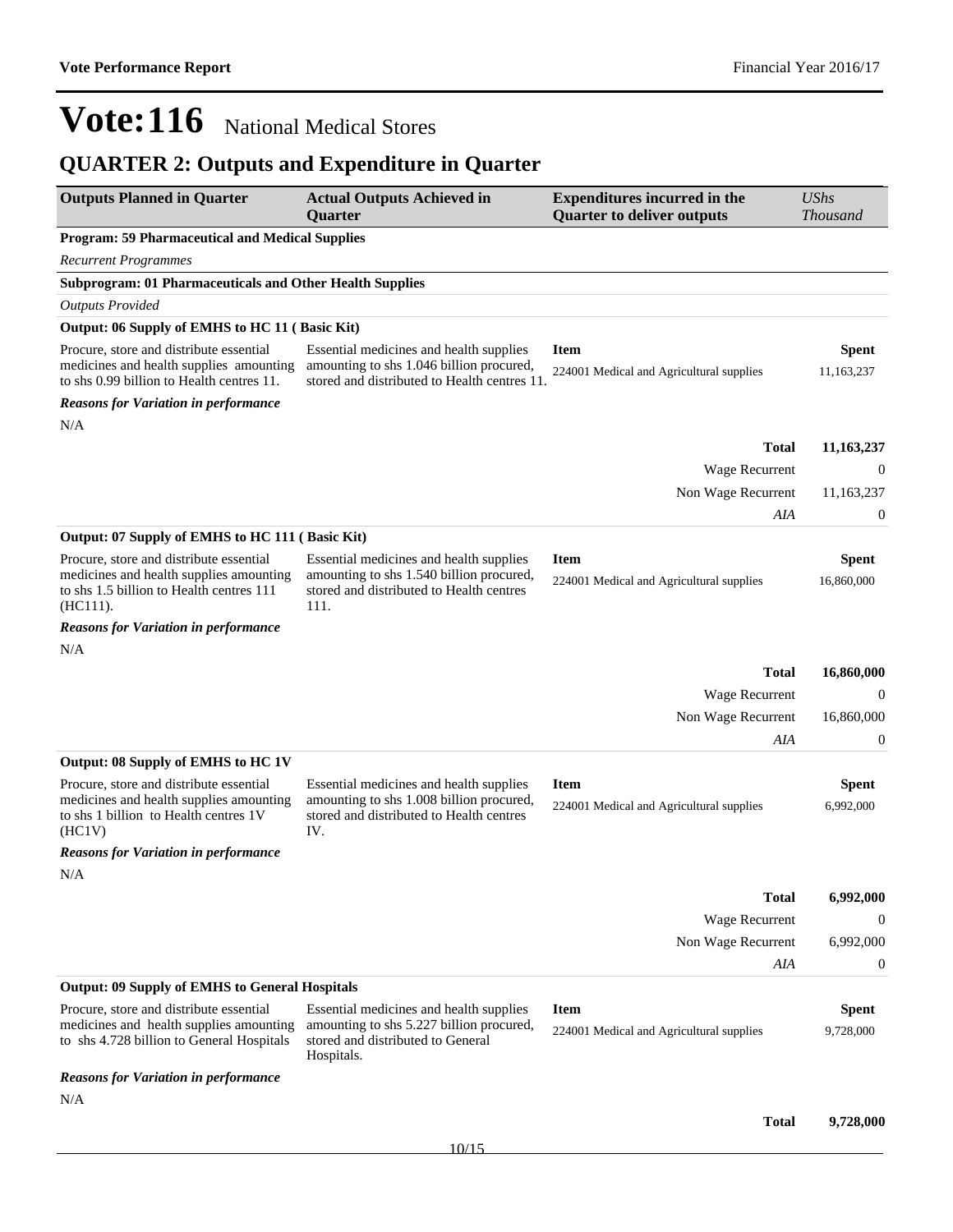## **QUARTER 2: Outputs and Expenditure in Quarter**

| <b>Outputs Planned in Quarter</b>                                                                                                             | <b>Actual Outputs Achieved in</b><br><b>Quarter</b>                                                                                     | <b>Expenditures incurred in the</b><br><b>Quarter to deliver outputs</b> | <b>UShs</b><br><b>Thousand</b> |  |
|-----------------------------------------------------------------------------------------------------------------------------------------------|-----------------------------------------------------------------------------------------------------------------------------------------|--------------------------------------------------------------------------|--------------------------------|--|
| <b>Program: 59 Pharmaceutical and Medical Supplies</b>                                                                                        |                                                                                                                                         |                                                                          |                                |  |
| <b>Recurrent Programmes</b>                                                                                                                   |                                                                                                                                         |                                                                          |                                |  |
| <b>Subprogram: 01 Pharmaceuticals and Other Health Supplies</b>                                                                               |                                                                                                                                         |                                                                          |                                |  |
| <b>Outputs Provided</b>                                                                                                                       |                                                                                                                                         |                                                                          |                                |  |
| Output: 06 Supply of EMHS to HC 11 (Basic Kit)                                                                                                |                                                                                                                                         |                                                                          |                                |  |
| Procure, store and distribute essential<br>medicines and health supplies amounting<br>to shs 0.99 billion to Health centres 11.               | Essential medicines and health supplies<br>amounting to shs 1.046 billion procured,<br>stored and distributed to Health centres 11.     | <b>Item</b><br>224001 Medical and Agricultural supplies                  | <b>Spent</b><br>11,163,237     |  |
| <b>Reasons for Variation in performance</b>                                                                                                   |                                                                                                                                         |                                                                          |                                |  |
| N/A                                                                                                                                           |                                                                                                                                         |                                                                          |                                |  |
|                                                                                                                                               |                                                                                                                                         | <b>Total</b>                                                             | 11, 163, 237                   |  |
|                                                                                                                                               |                                                                                                                                         | Wage Recurrent                                                           | 0                              |  |
|                                                                                                                                               |                                                                                                                                         | Non Wage Recurrent                                                       | 11,163,237                     |  |
|                                                                                                                                               |                                                                                                                                         | AIA                                                                      | 0                              |  |
| Output: 07 Supply of EMHS to HC 111 (Basic Kit)                                                                                               |                                                                                                                                         |                                                                          |                                |  |
| Procure, store and distribute essential<br>medicines and health supplies amounting<br>to shs 1.5 billion to Health centres 111<br>$(HC111)$ . | Essential medicines and health supplies<br>amounting to shs 1.540 billion procured,<br>stored and distributed to Health centres<br>111. | <b>Item</b><br>224001 Medical and Agricultural supplies                  | <b>Spent</b><br>16,860,000     |  |
| <b>Reasons for Variation in performance</b>                                                                                                   |                                                                                                                                         |                                                                          |                                |  |
| N/A                                                                                                                                           |                                                                                                                                         |                                                                          |                                |  |
|                                                                                                                                               |                                                                                                                                         | <b>Total</b>                                                             | 16,860,000                     |  |
|                                                                                                                                               |                                                                                                                                         | Wage Recurrent                                                           | 0                              |  |
|                                                                                                                                               |                                                                                                                                         | Non Wage Recurrent                                                       | 16,860,000                     |  |
|                                                                                                                                               |                                                                                                                                         | AIA                                                                      | 0                              |  |
| Output: 08 Supply of EMHS to HC 1V                                                                                                            |                                                                                                                                         |                                                                          |                                |  |
| Procure, store and distribute essential<br>medicines and health supplies amounting<br>to shs 1 billion to Health centres 1V<br>(HC1V)         | Essential medicines and health supplies<br>amounting to shs 1.008 billion procured,<br>stored and distributed to Health centres<br>IV.  | <b>Item</b><br>224001 Medical and Agricultural supplies                  | <b>Spent</b><br>6,992,000      |  |
| <b>Reasons for Variation in performance</b>                                                                                                   |                                                                                                                                         |                                                                          |                                |  |
| N/A                                                                                                                                           |                                                                                                                                         |                                                                          |                                |  |
|                                                                                                                                               |                                                                                                                                         | <b>Total</b>                                                             | 6,992,000                      |  |
|                                                                                                                                               |                                                                                                                                         | Wage Recurrent                                                           | $\theta$                       |  |
|                                                                                                                                               |                                                                                                                                         | Non Wage Recurrent                                                       | 6,992,000                      |  |
|                                                                                                                                               |                                                                                                                                         | AIA                                                                      | 0                              |  |
| <b>Output: 09 Supply of EMHS to General Hospitals</b>                                                                                         |                                                                                                                                         |                                                                          |                                |  |
| Procure, store and distribute essential<br>medicines and health supplies amounting<br>to shs 4.728 billion to General Hospitals               | Essential medicines and health supplies<br>amounting to shs 5.227 billion procured,<br>stored and distributed to General<br>Hospitals.  | <b>Item</b><br>224001 Medical and Agricultural supplies                  | <b>Spent</b><br>9,728,000      |  |
| <b>Reasons for Variation in performance</b>                                                                                                   |                                                                                                                                         |                                                                          |                                |  |
| N/A                                                                                                                                           |                                                                                                                                         |                                                                          |                                |  |
|                                                                                                                                               |                                                                                                                                         | <b>Total</b>                                                             | 9,728,000                      |  |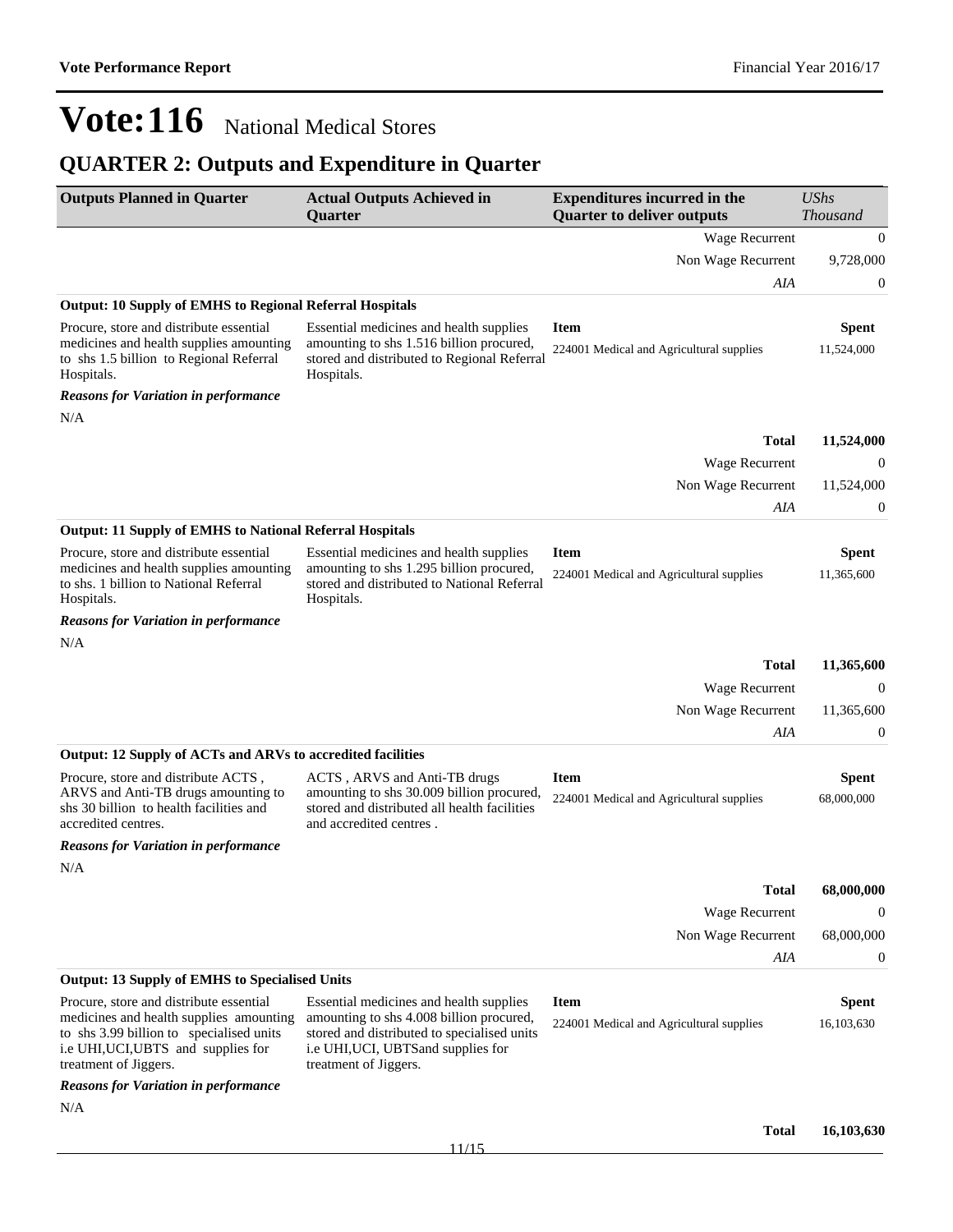## **QUARTER 2: Outputs and Expenditure in Quarter**

| <b>Outputs Planned in Quarter</b>                                                                                                                                                              | <b>Actual Outputs Achieved in</b><br><b>Quarter</b>                                                                                                                                                | <b>Expenditures incurred in the</b><br><b>Quarter to deliver outputs</b> | <b>UShs</b><br><b>Thousand</b> |
|------------------------------------------------------------------------------------------------------------------------------------------------------------------------------------------------|----------------------------------------------------------------------------------------------------------------------------------------------------------------------------------------------------|--------------------------------------------------------------------------|--------------------------------|
|                                                                                                                                                                                                |                                                                                                                                                                                                    | Wage Recurrent                                                           | $\mathbf{0}$                   |
|                                                                                                                                                                                                |                                                                                                                                                                                                    | Non Wage Recurrent                                                       | 9,728,000                      |
|                                                                                                                                                                                                |                                                                                                                                                                                                    | AIA                                                                      | $\mathbf{0}$                   |
| <b>Output: 10 Supply of EMHS to Regional Referral Hospitals</b>                                                                                                                                |                                                                                                                                                                                                    |                                                                          |                                |
| Procure, store and distribute essential<br>medicines and health supplies amounting<br>to shs 1.5 billion to Regional Referral<br>Hospitals.                                                    | Essential medicines and health supplies<br>amounting to shs 1.516 billion procured,<br>stored and distributed to Regional Referral<br>Hospitals.                                                   | <b>Item</b><br>224001 Medical and Agricultural supplies                  | Spent<br>11,524,000            |
| <b>Reasons for Variation in performance</b>                                                                                                                                                    |                                                                                                                                                                                                    |                                                                          |                                |
| N/A                                                                                                                                                                                            |                                                                                                                                                                                                    |                                                                          |                                |
|                                                                                                                                                                                                |                                                                                                                                                                                                    | <b>Total</b>                                                             | 11,524,000                     |
|                                                                                                                                                                                                |                                                                                                                                                                                                    | Wage Recurrent                                                           | $\mathbf{0}$                   |
|                                                                                                                                                                                                |                                                                                                                                                                                                    | Non Wage Recurrent                                                       | 11,524,000                     |
|                                                                                                                                                                                                |                                                                                                                                                                                                    | AIA                                                                      | 0                              |
| <b>Output: 11 Supply of EMHS to National Referral Hospitals</b>                                                                                                                                |                                                                                                                                                                                                    |                                                                          |                                |
| Procure, store and distribute essential<br>medicines and health supplies amounting<br>to shs. 1 billion to National Referral<br>Hospitals.                                                     | Essential medicines and health supplies<br>amounting to shs 1.295 billion procured,<br>stored and distributed to National Referral<br>Hospitals.                                                   | <b>Item</b><br>224001 Medical and Agricultural supplies                  | <b>Spent</b><br>11,365,600     |
| <b>Reasons for Variation in performance</b>                                                                                                                                                    |                                                                                                                                                                                                    |                                                                          |                                |
| N/A                                                                                                                                                                                            |                                                                                                                                                                                                    |                                                                          |                                |
|                                                                                                                                                                                                |                                                                                                                                                                                                    | <b>Total</b>                                                             | 11,365,600                     |
|                                                                                                                                                                                                |                                                                                                                                                                                                    | Wage Recurrent                                                           | $\mathbf 0$                    |
|                                                                                                                                                                                                |                                                                                                                                                                                                    | Non Wage Recurrent                                                       | 11,365,600                     |
|                                                                                                                                                                                                |                                                                                                                                                                                                    | AIA                                                                      | 0                              |
| Output: 12 Supply of ACTs and ARVs to accredited facilities                                                                                                                                    |                                                                                                                                                                                                    |                                                                          |                                |
| Procure, store and distribute ACTS,<br>ARVS and Anti-TB drugs amounting to<br>shs 30 billion to health facilities and<br>accredited centres.                                                   | ACTS, ARVS and Anti-TB drugs<br>amounting to shs 30.009 billion procured,<br>stored and distributed all health facilities<br>and accredited centres.                                               | <b>Item</b><br>224001 Medical and Agricultural supplies                  | <b>Spent</b><br>68,000,000     |
| <b>Reasons for Variation in performance</b>                                                                                                                                                    |                                                                                                                                                                                                    |                                                                          |                                |
| N/A                                                                                                                                                                                            |                                                                                                                                                                                                    |                                                                          |                                |
|                                                                                                                                                                                                |                                                                                                                                                                                                    | <b>Total</b>                                                             | 68,000,000                     |
|                                                                                                                                                                                                |                                                                                                                                                                                                    | Wage Recurrent                                                           | $\theta$                       |
|                                                                                                                                                                                                |                                                                                                                                                                                                    | Non Wage Recurrent                                                       | 68,000,000                     |
|                                                                                                                                                                                                |                                                                                                                                                                                                    | AIA                                                                      | $\mathbf{0}$                   |
| <b>Output: 13 Supply of EMHS to Specialised Units</b>                                                                                                                                          |                                                                                                                                                                                                    |                                                                          |                                |
| Procure, store and distribute essential<br>medicines and health supplies amounting<br>to shs 3.99 billion to specialised units<br>i.e UHI, UCI, UBTS and supplies for<br>treatment of Jiggers. | Essential medicines and health supplies<br>amounting to shs 4.008 billion procured,<br>stored and distributed to specialised units<br>i.e UHI, UCI, UBTS and supplies for<br>treatment of Jiggers. | <b>Item</b><br>224001 Medical and Agricultural supplies                  | <b>Spent</b><br>16,103,630     |
| <b>Reasons for Variation in performance</b>                                                                                                                                                    |                                                                                                                                                                                                    |                                                                          |                                |
| N/A                                                                                                                                                                                            |                                                                                                                                                                                                    | <b>Total</b>                                                             | 16,103,630                     |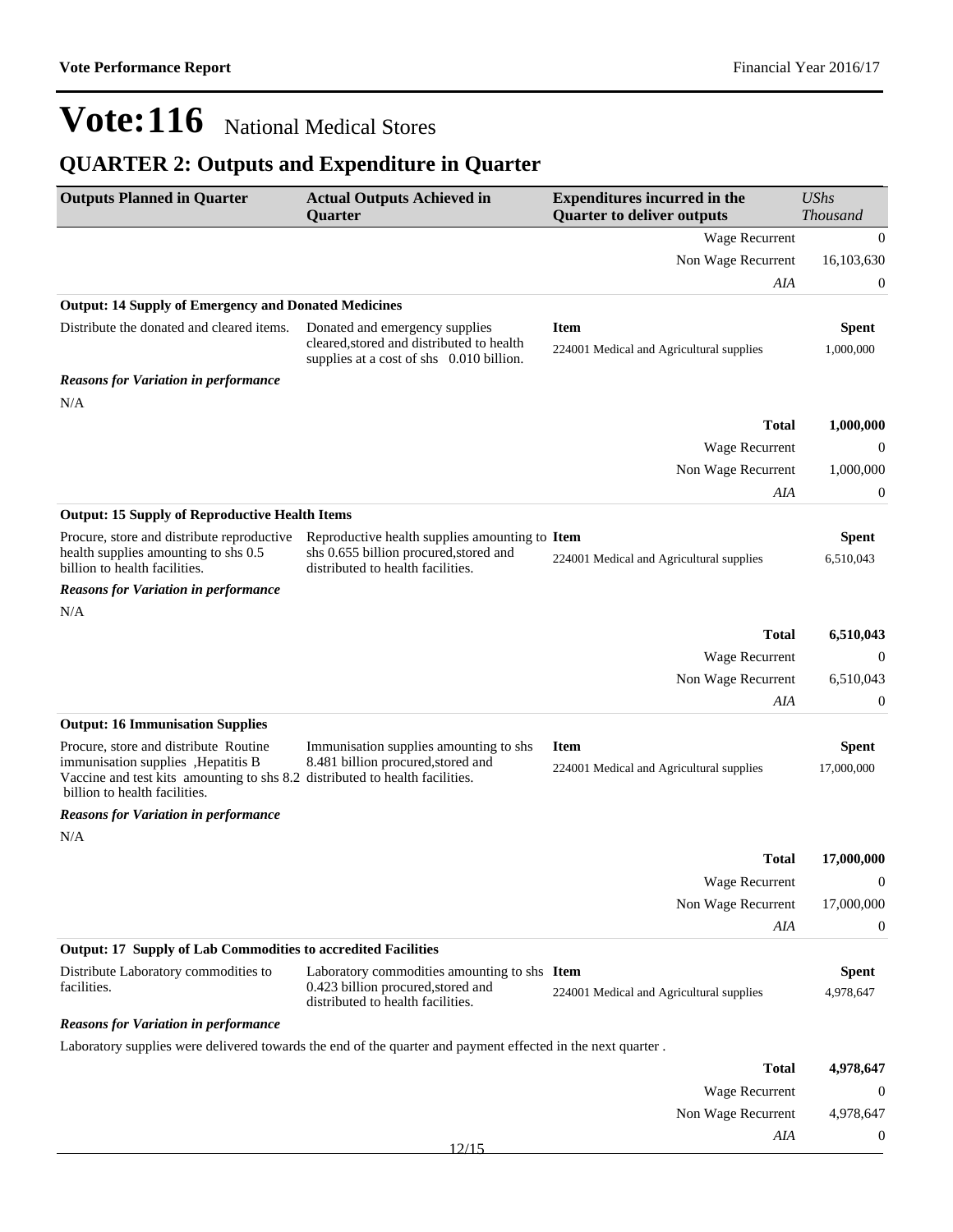## **QUARTER 2: Outputs and Expenditure in Quarter**

| <b>Outputs Planned in Quarter</b>                                                                                                                                                             | <b>Actual Outputs Achieved in</b><br>Quarter                                                                            | <b>Expenditures incurred in the</b><br><b>Quarter to deliver outputs</b> | <b>UShs</b><br><b>Thousand</b> |
|-----------------------------------------------------------------------------------------------------------------------------------------------------------------------------------------------|-------------------------------------------------------------------------------------------------------------------------|--------------------------------------------------------------------------|--------------------------------|
|                                                                                                                                                                                               |                                                                                                                         | Wage Recurrent                                                           | $\mathbf{0}$                   |
|                                                                                                                                                                                               |                                                                                                                         | Non Wage Recurrent                                                       | 16,103,630                     |
|                                                                                                                                                                                               |                                                                                                                         | AIA                                                                      | $\boldsymbol{0}$               |
| <b>Output: 14 Supply of Emergency and Donated Medicines</b>                                                                                                                                   |                                                                                                                         |                                                                          |                                |
| Distribute the donated and cleared items.                                                                                                                                                     | Donated and emergency supplies                                                                                          | <b>Item</b>                                                              | <b>Spent</b>                   |
|                                                                                                                                                                                               | cleared, stored and distributed to health<br>supplies at a cost of shs 0.010 billion.                                   | 224001 Medical and Agricultural supplies                                 | 1,000,000                      |
| <b>Reasons for Variation in performance</b>                                                                                                                                                   |                                                                                                                         |                                                                          |                                |
| N/A                                                                                                                                                                                           |                                                                                                                         |                                                                          |                                |
|                                                                                                                                                                                               |                                                                                                                         | <b>Total</b>                                                             | 1,000,000                      |
|                                                                                                                                                                                               |                                                                                                                         | Wage Recurrent                                                           | $\boldsymbol{0}$               |
|                                                                                                                                                                                               |                                                                                                                         | Non Wage Recurrent                                                       | 1,000,000                      |
| <b>Output: 15 Supply of Reproductive Health Items</b>                                                                                                                                         |                                                                                                                         | AIA                                                                      | $\boldsymbol{0}$               |
| Procure, store and distribute reproductive                                                                                                                                                    | Reproductive health supplies amounting to Item                                                                          |                                                                          | <b>Spent</b>                   |
| health supplies amounting to shs 0.5<br>billion to health facilities.                                                                                                                         | shs 0.655 billion procured, stored and<br>distributed to health facilities.                                             | 224001 Medical and Agricultural supplies                                 | 6,510,043                      |
| <b>Reasons for Variation in performance</b><br>N/A                                                                                                                                            |                                                                                                                         |                                                                          |                                |
|                                                                                                                                                                                               |                                                                                                                         | <b>Total</b>                                                             | 6,510,043                      |
|                                                                                                                                                                                               |                                                                                                                         | Wage Recurrent                                                           | $\mathbf{0}$                   |
|                                                                                                                                                                                               |                                                                                                                         | Non Wage Recurrent                                                       | 6,510,043                      |
|                                                                                                                                                                                               |                                                                                                                         | AIA                                                                      | $\boldsymbol{0}$               |
| <b>Output: 16 Immunisation Supplies</b>                                                                                                                                                       |                                                                                                                         |                                                                          |                                |
| Procure, store and distribute Routine<br>immunisation supplies , Hepatitis B<br>Vaccine and test kits amounting to shs 8.2 distributed to health facilities.<br>billion to health facilities. | Immunisation supplies amounting to shs<br>8.481 billion procured, stored and                                            | <b>Item</b><br>224001 Medical and Agricultural supplies                  | <b>Spent</b><br>17,000,000     |
| <b>Reasons for Variation in performance</b>                                                                                                                                                   |                                                                                                                         |                                                                          |                                |
| N/A                                                                                                                                                                                           |                                                                                                                         |                                                                          |                                |
|                                                                                                                                                                                               |                                                                                                                         | Total                                                                    | 17,000,000                     |
|                                                                                                                                                                                               |                                                                                                                         | Wage Recurrent                                                           | $\theta$                       |
|                                                                                                                                                                                               |                                                                                                                         | Non Wage Recurrent                                                       | 17,000,000                     |
|                                                                                                                                                                                               |                                                                                                                         | AIA                                                                      | $\mathbf{0}$                   |
| <b>Output: 17 Supply of Lab Commodities to accredited Facilities</b>                                                                                                                          |                                                                                                                         |                                                                          |                                |
| Distribute Laboratory commodities to<br>facilities.                                                                                                                                           | Laboratory commodities amounting to shs Item<br>0.423 billion procured, stored and<br>distributed to health facilities. | 224001 Medical and Agricultural supplies                                 | <b>Spent</b><br>4,978,647      |
| <b>Reasons for Variation in performance</b>                                                                                                                                                   |                                                                                                                         |                                                                          |                                |
|                                                                                                                                                                                               | Laboratory supplies were delivered towards the end of the quarter and payment effected in the next quarter.             |                                                                          |                                |
|                                                                                                                                                                                               |                                                                                                                         | <b>Total</b>                                                             | 4,978,647                      |
|                                                                                                                                                                                               |                                                                                                                         | Wage Recurrent                                                           | $\mathbf{0}$                   |
|                                                                                                                                                                                               |                                                                                                                         | Non Wage Recurrent                                                       | 4,978,647                      |
|                                                                                                                                                                                               |                                                                                                                         | AIA                                                                      | $\boldsymbol{0}$               |

12/15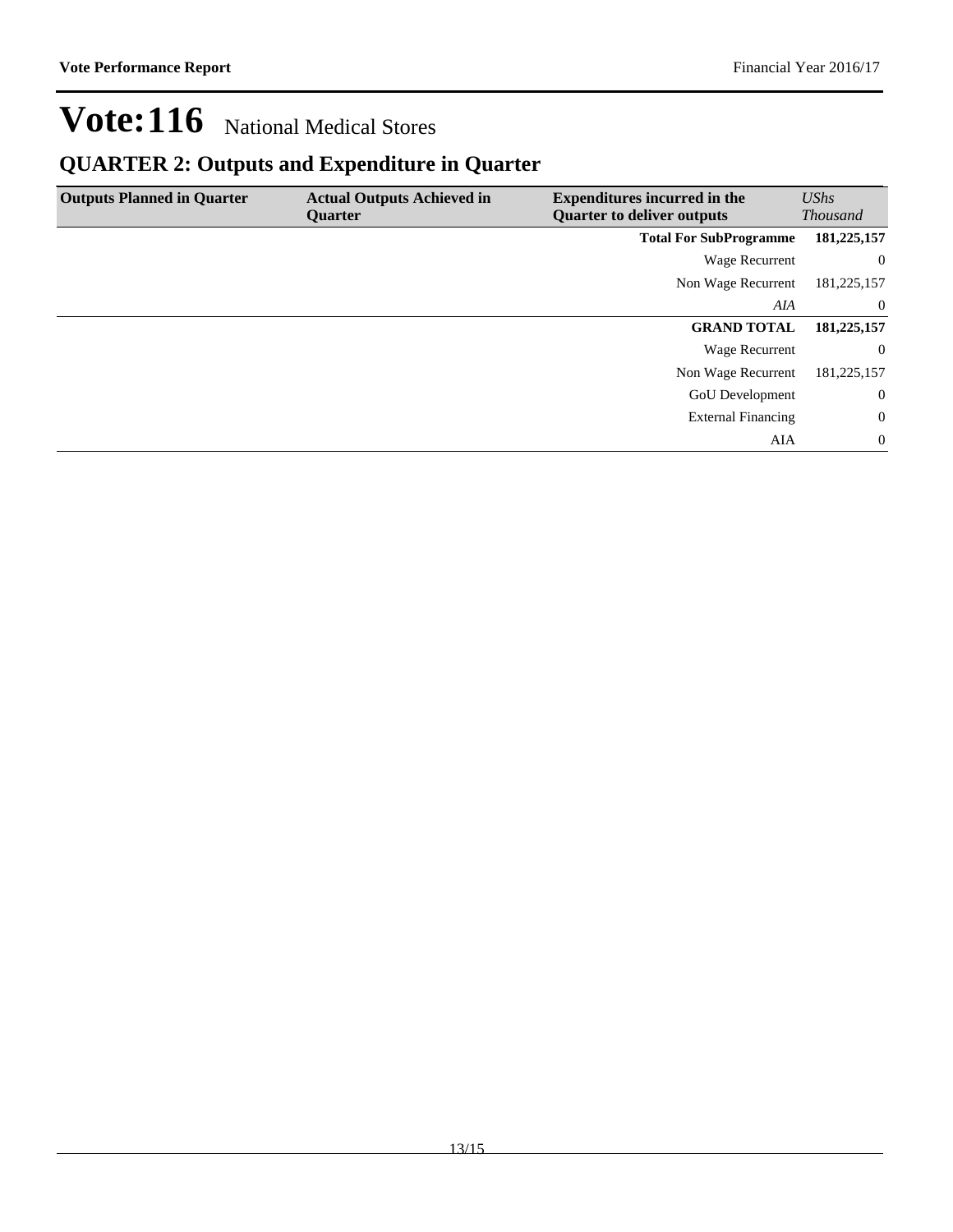## **QUARTER 2: Outputs and Expenditure in Quarter**

| <b>Outputs Planned in Quarter</b> | <b>Actual Outputs Achieved in</b><br><b>Ouarter</b> | <b>Expenditures incurred in the</b><br><b>Quarter to deliver outputs</b> | UShs<br><b>Thousand</b> |
|-----------------------------------|-----------------------------------------------------|--------------------------------------------------------------------------|-------------------------|
|                                   |                                                     | <b>Total For SubProgramme</b>                                            | 181,225,157             |
|                                   |                                                     | Wage Recurrent                                                           | $\overline{0}$          |
|                                   |                                                     | Non Wage Recurrent                                                       | 181,225,157             |
|                                   |                                                     | AIA                                                                      | $\overline{0}$          |
|                                   |                                                     | <b>GRAND TOTAL</b>                                                       | 181,225,157             |
|                                   |                                                     | Wage Recurrent                                                           | $\overline{0}$          |
|                                   |                                                     | Non Wage Recurrent                                                       | 181,225,157             |
|                                   |                                                     | <b>GoU</b> Development                                                   | $\overline{0}$          |
|                                   |                                                     | <b>External Financing</b>                                                | $\mathbf{0}$            |
|                                   |                                                     | AIA                                                                      | $\overline{0}$          |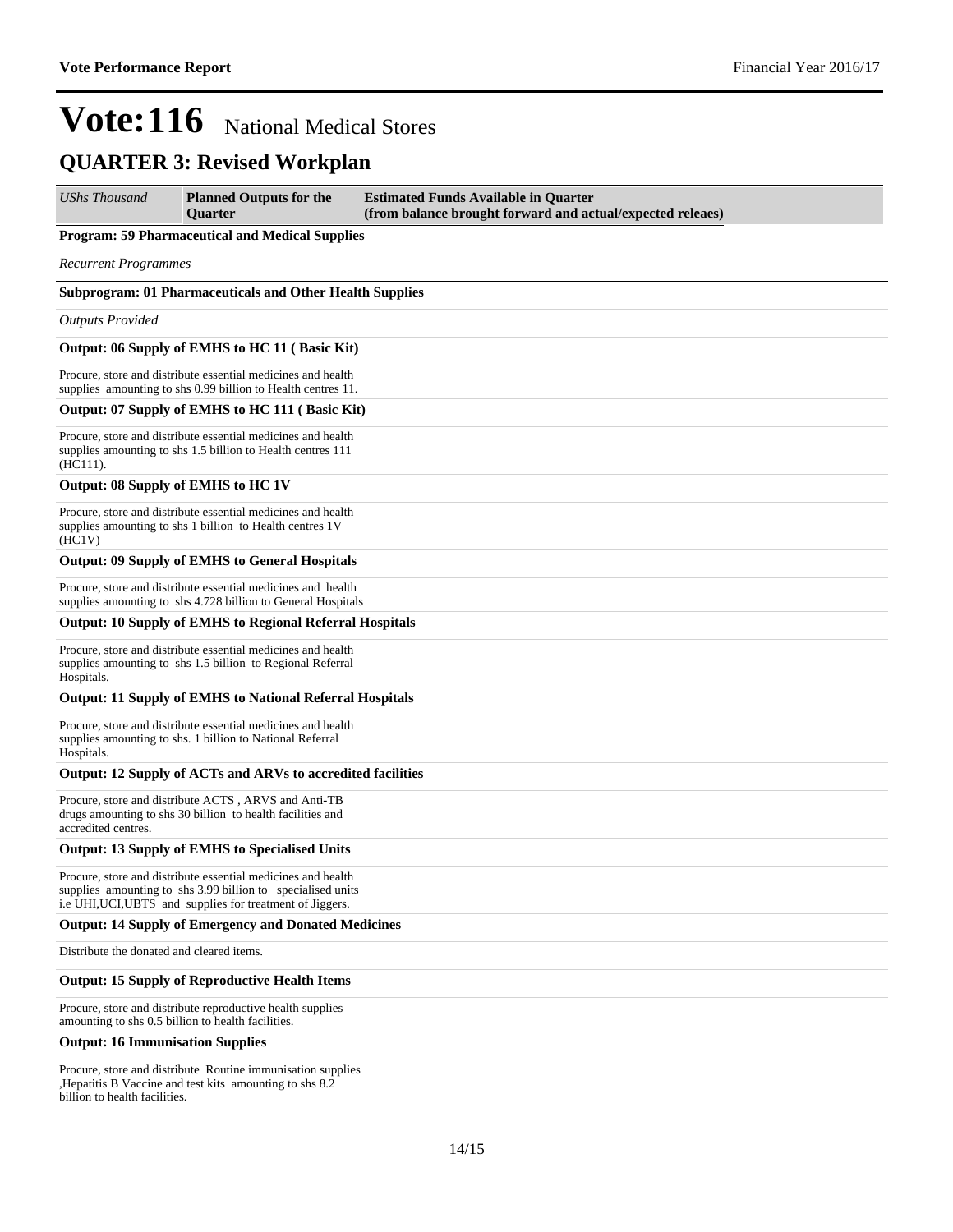## **QUARTER 3: Revised Workplan**

| UShs Thousand                                      | <b>Planned Outputs for the</b><br><b>Ouarter</b>                                                                                                                                         | <b>Estimated Funds Available in Quarter</b><br>(from balance brought forward and actual/expected releaes) |
|----------------------------------------------------|------------------------------------------------------------------------------------------------------------------------------------------------------------------------------------------|-----------------------------------------------------------------------------------------------------------|
|                                                    | <b>Program: 59 Pharmaceutical and Medical Supplies</b>                                                                                                                                   |                                                                                                           |
| <b>Recurrent Programmes</b>                        |                                                                                                                                                                                          |                                                                                                           |
|                                                    | <b>Subprogram: 01 Pharmaceuticals and Other Health Supplies</b>                                                                                                                          |                                                                                                           |
| <b>Outputs Provided</b>                            |                                                                                                                                                                                          |                                                                                                           |
|                                                    | Output: 06 Supply of EMHS to HC 11 (Basic Kit)                                                                                                                                           |                                                                                                           |
|                                                    | Procure, store and distribute essential medicines and health<br>supplies amounting to shs 0.99 billion to Health centres 11.                                                             |                                                                                                           |
|                                                    | Output: 07 Supply of EMHS to HC 111 (Basic Kit)                                                                                                                                          |                                                                                                           |
| (HC111).                                           | Procure, store and distribute essential medicines and health<br>supplies amounting to shs 1.5 billion to Health centres 111                                                              |                                                                                                           |
| Output: 08 Supply of EMHS to HC 1V                 |                                                                                                                                                                                          |                                                                                                           |
| (HC1V)                                             | Procure, store and distribute essential medicines and health<br>supplies amounting to shs 1 billion to Health centres 1V                                                                 |                                                                                                           |
|                                                    | <b>Output: 09 Supply of EMHS to General Hospitals</b>                                                                                                                                    |                                                                                                           |
|                                                    | Procure, store and distribute essential medicines and health<br>supplies amounting to shs 4.728 billion to General Hospitals                                                             |                                                                                                           |
|                                                    | <b>Output: 10 Supply of EMHS to Regional Referral Hospitals</b>                                                                                                                          |                                                                                                           |
| Hospitals.                                         | Procure, store and distribute essential medicines and health<br>supplies amounting to shs 1.5 billion to Regional Referral                                                               |                                                                                                           |
|                                                    | <b>Output: 11 Supply of EMHS to National Referral Hospitals</b>                                                                                                                          |                                                                                                           |
| Hospitals.                                         | Procure, store and distribute essential medicines and health<br>supplies amounting to shs. 1 billion to National Referral                                                                |                                                                                                           |
|                                                    | Output: 12 Supply of ACTs and ARVs to accredited facilities                                                                                                                              |                                                                                                           |
| accredited centres.                                | Procure, store and distribute ACTS, ARVS and Anti-TB<br>drugs amounting to shs 30 billion to health facilities and                                                                       |                                                                                                           |
|                                                    | <b>Output: 13 Supply of EMHS to Specialised Units</b>                                                                                                                                    |                                                                                                           |
|                                                    | Procure, store and distribute essential medicines and health<br>supplies amounting to shs 3.99 billion to specialised units<br>i.e UHI, UCI, UBTS and supplies for treatment of Jiggers. |                                                                                                           |
|                                                    | <b>Output: 14 Supply of Emergency and Donated Medicines</b>                                                                                                                              |                                                                                                           |
| Distribute the donated and cleared items.          |                                                                                                                                                                                          |                                                                                                           |
|                                                    | <b>Output: 15 Supply of Reproductive Health Items</b>                                                                                                                                    |                                                                                                           |
| amounting to shs 0.5 billion to health facilities. | Procure, store and distribute reproductive health supplies                                                                                                                               |                                                                                                           |
| <b>Output: 16 Immunisation Supplies</b>            |                                                                                                                                                                                          |                                                                                                           |

Procure, store and distribute Routine immunisation supplies , Hepatitis B Vaccine and test kits amounting to shs  $8.\overline{2}$ billion to health facilities.